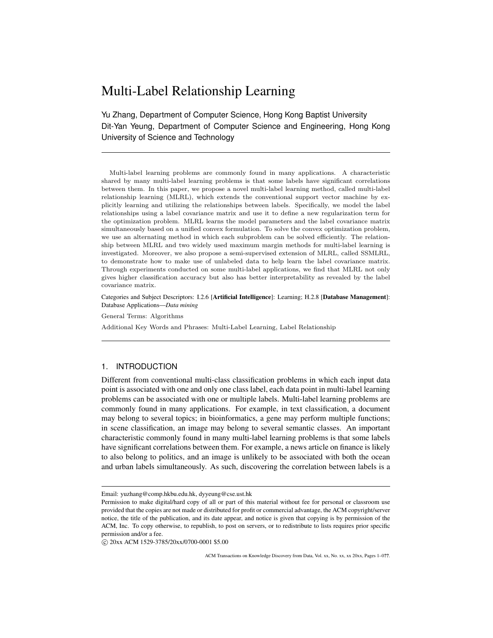# Multi-Label Relationship Learning

Yu Zhang, Department of Computer Science, Hong Kong Baptist University Dit-Yan Yeung, Department of Computer Science and Engineering, Hong Kong University of Science and Technology

Multi-label learning problems are commonly found in many applications. A characteristic shared by many multi-label learning problems is that some labels have significant correlations between them. In this paper, we propose a novel multi-label learning method, called multi-label relationship learning (MLRL), which extends the conventional support vector machine by explicitly learning and utilizing the relationships between labels. Specifically, we model the label relationships using a label covariance matrix and use it to define a new regularization term for the optimization problem. MLRL learns the model parameters and the label covariance matrix simultaneously based on a unified convex formulation. To solve the convex optimization problem, we use an alternating method in which each subproblem can be solved efficiently. The relationship between MLRL and two widely used maximum margin methods for multi-label learning is investigated. Moreover, we also propose a semi-supervised extension of MLRL, called SSMLRL, to demonstrate how to make use of unlabeled data to help learn the label covariance matrix. Through experiments conducted on some multi-label applications, we find that MLRL not only gives higher classification accuracy but also has better interpretability as revealed by the label covariance matrix.

Categories and Subject Descriptors: I.2.6 [Artificial Intelligence]: Learning; H.2.8 [Database Management]: Database Applications—*Data mining*

General Terms: Algorithms

Additional Key Words and Phrases: Multi-Label Learning, Label Relationship

#### 1. INTRODUCTION

Different from conventional multi-class classification problems in which each input data point is associated with one and only one class label, each data point in multi-label learning problems can be associated with one or multiple labels. Multi-label learning problems are commonly found in many applications. For example, in text classification, a document may belong to several topics; in bioinformatics, a gene may perform multiple functions; in scene classification, an image may belong to several semantic classes. An important characteristic commonly found in many multi-label learning problems is that some labels have significant correlations between them. For example, a news article on finance is likely to also belong to politics, and an image is unlikely to be associated with both the ocean and urban labels simultaneously. As such, discovering the correlation between labels is a

*⃝*c 20xx ACM 1529-3785/20xx/0700-0001 \$5.00

Email: yuzhang@comp.hkbu.edu.hk, dyyeung@cse.ust.hk

Permission to make digital/hard copy of all or part of this material without fee for personal or classroom use provided that the copies are not made or distributed for profit or commercial advantage, the ACM copyright/server notice, the title of the publication, and its date appear, and notice is given that copying is by permission of the ACM, Inc. To copy otherwise, to republish, to post on servers, or to redistribute to lists requires prior specific permission and/or a fee.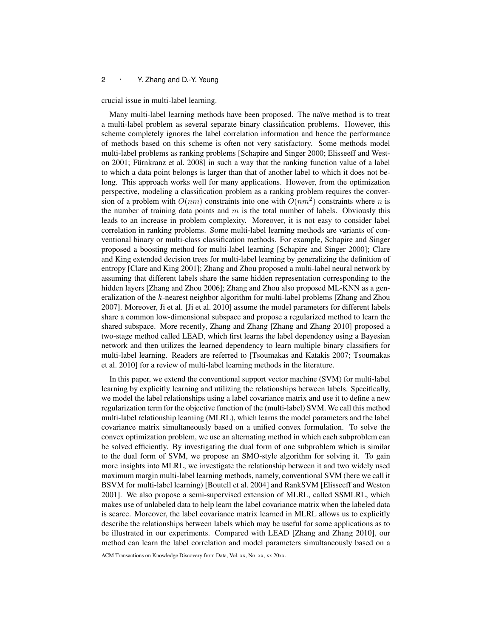crucial issue in multi-label learning.

Many multi-label learning methods have been proposed. The naïve method is to treat a multi-label problem as several separate binary classification problems. However, this scheme completely ignores the label correlation information and hence the performance of methods based on this scheme is often not very satisfactory. Some methods model multi-label problems as ranking problems [Schapire and Singer 2000; Elisseeff and Weston 2001; Fürnkranz et al. 2008] in such a way that the ranking function value of a label to which a data point belongs is larger than that of another label to which it does not belong. This approach works well for many applications. However, from the optimization perspective, modeling a classification problem as a ranking problem requires the conversion of a problem with  $O(nm)$  constraints into one with  $O(nm^2)$  constraints where *n* is the number of training data points and *m* is the total number of labels. Obviously this leads to an increase in problem complexity. Moreover, it is not easy to consider label correlation in ranking problems. Some multi-label learning methods are variants of conventional binary or multi-class classification methods. For example, Schapire and Singer proposed a boosting method for multi-label learning [Schapire and Singer 2000]; Clare and King extended decision trees for multi-label learning by generalizing the definition of entropy [Clare and King 2001]; Zhang and Zhou proposed a multi-label neural network by assuming that different labels share the same hidden representation corresponding to the hidden layers [Zhang and Zhou 2006]; Zhang and Zhou also proposed ML-KNN as a generalization of the *k*-nearest neighbor algorithm for multi-label problems [Zhang and Zhou 2007]. Moreover, Ji et al. [Ji et al. 2010] assume the model parameters for different labels share a common low-dimensional subspace and propose a regularized method to learn the shared subspace. More recently, Zhang and Zhang [Zhang and Zhang 2010] proposed a two-stage method called LEAD, which first learns the label dependency using a Bayesian network and then utilizes the learned dependency to learn multiple binary classifiers for multi-label learning. Readers are referred to [Tsoumakas and Katakis 2007; Tsoumakas et al. 2010] for a review of multi-label learning methods in the literature.

In this paper, we extend the conventional support vector machine (SVM) for multi-label learning by explicitly learning and utilizing the relationships between labels. Specifically, we model the label relationships using a label covariance matrix and use it to define a new regularization term for the objective function of the (multi-label) SVM. We call this method multi-label relationship learning (MLRL), which learns the model parameters and the label covariance matrix simultaneously based on a unified convex formulation. To solve the convex optimization problem, we use an alternating method in which each subproblem can be solved efficiently. By investigating the dual form of one subproblem which is similar to the dual form of SVM, we propose an SMO-style algorithm for solving it. To gain more insights into MLRL, we investigate the relationship between it and two widely used maximum margin multi-label learning methods, namely, conventional SVM (here we call it BSVM for multi-label learning) [Boutell et al. 2004] and RankSVM [Elisseeff and Weston 2001]. We also propose a semi-supervised extension of MLRL, called SSMLRL, which makes use of unlabeled data to help learn the label covariance matrix when the labeled data is scarce. Moreover, the label covariance matrix learned in MLRL allows us to explicitly describe the relationships between labels which may be useful for some applications as to be illustrated in our experiments. Compared with LEAD [Zhang and Zhang 2010], our method can learn the label correlation and model parameters simultaneously based on a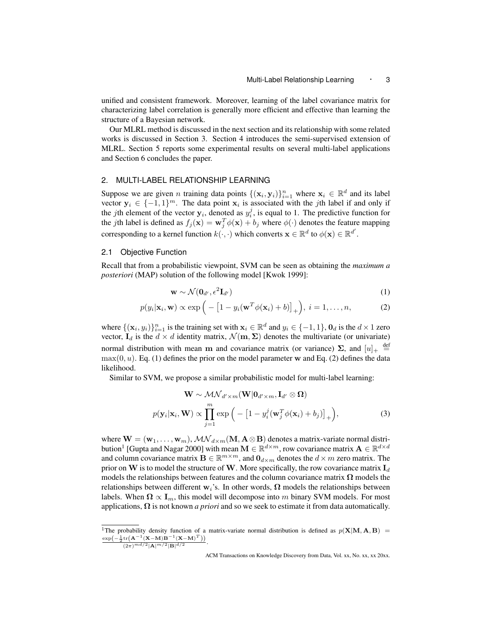unified and consistent framework. Moreover, learning of the label covariance matrix for characterizing label correlation is generally more efficient and effective than learning the structure of a Bayesian network.

Our MLRL method is discussed in the next section and its relationship with some related works is discussed in Section 3. Section 4 introduces the semi-supervised extension of MLRL. Section 5 reports some experimental results on several multi-label applications and Section 6 concludes the paper.

#### 2. MULTI-LABEL RELATIONSHIP LEARNING

Suppose we are given *n* training data points  $\{(\mathbf{x}_i, \mathbf{y}_i)\}_{i=1}^n$  where  $\mathbf{x}_i \in \mathbb{R}^d$  and its label vector  $y_i \in \{-1, 1\}^m$ . The data point  $x_i$  is associated with the *j*th label if and only if the *j*th element of the vector  $y_i$ , denoted as  $y_i^j$ , is equal to 1. The predictive function for the *j*th label is defined as  $f_j(\mathbf{x}) = \mathbf{w}_j^T \phi(\mathbf{x}) + b_j$  where  $\phi(\cdot)$  denotes the feature mapping corresponding to a kernel function  $k(\cdot, \cdot)$  which converts  $\mathbf{x} \in \mathbb{R}^d$  to  $\phi(\mathbf{x}) \in \mathbb{R}^{d'}$ .

# 2.1 Objective Function

Recall that from a probabilistic viewpoint, SVM can be seen as obtaining the *maximum a posteriori* (MAP) solution of the following model [Kwok 1999]:

$$
\mathbf{w} \sim \mathcal{N}(\mathbf{0}_{d'}, \epsilon^2 \mathbf{I}_{d'}) \tag{1}
$$

$$
p(y_i|\mathbf{x}_i, \mathbf{w}) \propto \exp\left(-\left[1 - y_i(\mathbf{w}^T \phi(\mathbf{x}_i) + b)\right]_+\right), \ i = 1, \dots, n,
$$
 (2)

where  $\{(\mathbf{x}_i, y_i)\}_{i=1}^n$  is the training set with  $\mathbf{x}_i \in \mathbb{R}^d$  and  $y_i \in \{-1, 1\}$ ,  $\mathbf{0}_d$  is the  $d \times 1$  zero vector,  $I_d$  is the  $d \times d$  identity matrix,  $\mathcal{N}(\mathbf{m}, \Sigma)$  denotes the multivariate (or univariate) normal distribution with mean **m** and covariance matrix (or variance)  $\Sigma$ , and  $[u]_+ \stackrel{\text{def}}{=}$  $max(0, u)$ . Eq. (1) defines the prior on the model parameter **w** and Eq. (2) defines the data likelihood.

Similar to SVM, we propose a similar probabilistic model for multi-label learning:

$$
\mathbf{W} \sim \mathcal{MN}_{d' \times m}(\mathbf{W}|\mathbf{0}_{d' \times m}, \mathbf{I}_{d'} \otimes \mathbf{\Omega})
$$

$$
p(\mathbf{y}_i|\mathbf{x}_i, \mathbf{W}) \propto \prod_{j=1}^m \exp\left(-\left[1 - y_i^j(\mathbf{w}_j^T \phi(\mathbf{x}_i) + b_j)\right]_+\right),
$$
(3)

where  $\mathbf{W} = (\mathbf{w}_1, \dots, \mathbf{w}_m)$ ,  $\mathcal{MN}_{d \times m}(\mathbf{M}, \mathbf{A} \otimes \mathbf{B})$  denotes a matrix-variate normal distribution $^1$  [Gupta and Nagar 2000] with mean  $\mathbf{M} \in \mathbb{R}^{d \times m}$ , row covariance matrix  $\mathbf{A} \in \mathbb{R}^{d \times d}$ and column covariance matrix  $\mathbf{B} \in \mathbb{R}^{m \times m}$ , and  $\mathbf{0}_{d \times m}$  denotes the  $d \times m$  zero matrix. The prior on **W** is to model the structure of **W**. More specifically, the row covariance matrix  $I_d$ models the relationships between features and the column covariance matrix  $\Omega$  models the relationships between different  $w_i$ 's. In other words,  $\Omega$  models the relationships between labels. When  $\Omega \propto I_m$ , this model will decompose into *m* binary SVM models. For most applications, **Ω** is not known *a priori* and so we seek to estimate it from data automatically.

<sup>&</sup>lt;sup>1</sup>The probability density function of a matrix-variate normal distribution is defined as  $p(X|M, A, B)$  =  $\exp(-\frac{1}{2}\text{tr}(\mathbf{A}^{-1}(\mathbf{X}-\mathbf{M})\mathbf{B}^{-1}(\mathbf{X}-\mathbf{M})^T))$ 

 $\frac{(\mathbf{x} - \mathbf{w})^2}{(2\pi)^{md/2}|\mathbf{A}|^{m/2}|\mathbf{B}|^{d/2}}$ .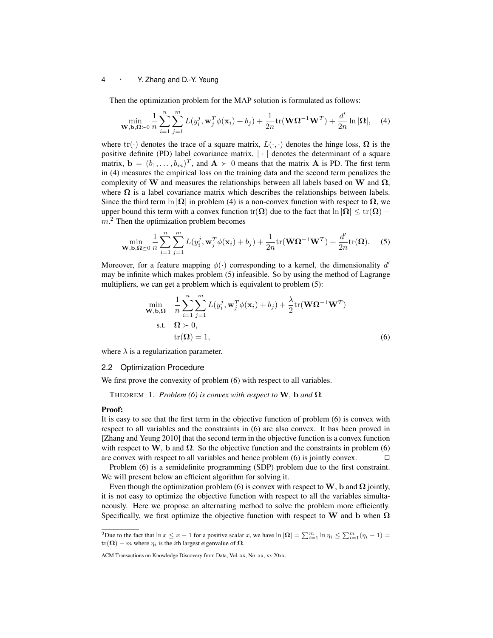Then the optimization problem for the MAP solution is formulated as follows:

$$
\min_{\mathbf{W},\mathbf{b},\mathbf{\Omega}\succ0} \frac{1}{n} \sum_{i=1}^{n} \sum_{j=1}^{m} L(y_i^j, \mathbf{w}_j^T \phi(\mathbf{x}_i) + b_j) + \frac{1}{2n} \text{tr}(\mathbf{W}\mathbf{\Omega}^{-1}\mathbf{W}^T) + \frac{d'}{2n} \ln |\mathbf{\Omega}|, \quad (4)
$$

where tr( $\cdot$ ) denotes the trace of a square matrix,  $L(\cdot, \cdot)$  denotes the hinge loss,  $\Omega$  is the positive definite (PD) label covariance matrix, *| · |* denotes the determinant of a square matrix,  $\mathbf{b} = (b_1, \ldots, b_m)^T$ , and  $\mathbf{A} \succ 0$  means that the matrix  $\mathbf{A}$  is PD. The first term in (4) measures the empirical loss on the training data and the second term penalizes the complexity of **W** and measures the relationships between all labels based on **W** and  $\Omega$ , where  $\Omega$  is a label covariance matrix which describes the relationships between labels. Since the third term  $\ln |\Omega|$  in problem (4) is a non-convex function with respect to  $\Omega$ , we upper bound this term with a convex function tr( $\Omega$ ) due to the fact that  $\ln |\Omega| \leq \text{tr}(\Omega) - \Omega$ *m*. <sup>2</sup> Then the optimization problem becomes

$$
\min_{\mathbf{W},\mathbf{b},\mathbf{\Omega}\succeq 0} \frac{1}{n} \sum_{i=1}^{n} \sum_{j=1}^{m} L(y_i^j, \mathbf{w}_j^T \phi(\mathbf{x}_i) + b_j) + \frac{1}{2n} \text{tr}(\mathbf{W}\mathbf{\Omega}^{-1}\mathbf{W}^T) + \frac{d'}{2n} \text{tr}(\mathbf{\Omega}).
$$
 (5)

Moreover, for a feature mapping *ϕ*(*·*) corresponding to a kernel, the dimensionality *d ′* may be infinite which makes problem (5) infeasible. So by using the method of Lagrange multipliers, we can get a problem which is equivalent to problem (5):

$$
\min_{\mathbf{W},\mathbf{b},\mathbf{\Omega}} \quad \frac{1}{n} \sum_{i=1}^{n} \sum_{j=1}^{m} L(y_i^j, \mathbf{w}_j^T \phi(\mathbf{x}_i) + b_j) + \frac{\lambda}{2} \text{tr}(\mathbf{W}\mathbf{\Omega}^{-1}\mathbf{W}^T)
$$
\n
$$
\text{s.t.} \quad \mathbf{\Omega} \succ 0,
$$
\n
$$
\text{tr}(\mathbf{\Omega}) = 1,
$$
\n(6)

where  $\lambda$  is a regularization parameter.

#### 2.2 Optimization Procedure

We first prove the convexity of problem  $(6)$  with respect to all variables.

THEOREM 1. *Problem (6) is convex with respect to* **W***,* **b** *and*  $\Omega$ *.* 

#### Proof:

It is easy to see that the first term in the objective function of problem (6) is convex with respect to all variables and the constraints in (6) are also convex. It has been proved in [Zhang and Yeung 2010] that the second term in the objective function is a convex function with respect to **W**, **b** and  $\Omega$ . So the objective function and the constraints in problem (6) are convex with respect to all variables and hence problem  $(6)$  is jointly convex.  $\Box$ 

Problem (6) is a semidefinite programming (SDP) problem due to the first constraint. We will present below an efficient algorithm for solving it.

Even though the optimization problem (6) is convex with respect to  $W$ , **b** and  $\Omega$  jointly, it is not easy to optimize the objective function with respect to all the variables simultaneously. Here we propose an alternating method to solve the problem more efficiently. Specifically, we first optimize the objective function with respect to **W** and **b** when **Ω**

<sup>&</sup>lt;sup>2</sup>Due to the fact that  $\ln x \le x - 1$  for a positive scalar x, we have  $\ln |\Omega| = \sum_{i=1}^{m} \ln \eta_i \le \sum_{i=1}^{m} (\eta_i - 1) =$  $tr(\Omega) - m$  where  $\eta_i$  is the *i*th largest eigenvalue of  $\Omega$ .

ACM Transactions on Knowledge Discovery from Data, Vol. xx, No. xx, xx 20xx.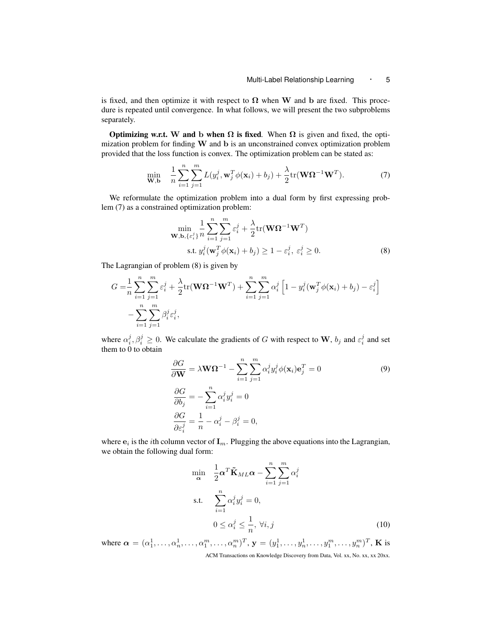is fixed, and then optimize it with respect to  $\Omega$  when **W** and **b** are fixed. This procedure is repeated until convergence. In what follows, we will present the two subproblems separately.

**Optimizing w.r.t. W and b when**  $\Omega$  **is fixed.** When  $\Omega$  is given and fixed, the optimization problem for finding **W** and **b** is an unconstrained convex optimization problem provided that the loss function is convex. The optimization problem can be stated as:

$$
\min_{\mathbf{W},\mathbf{b}} \quad \frac{1}{n} \sum_{i=1}^{n} \sum_{j=1}^{m} L(y_i^j, \mathbf{w}_j^T \phi(\mathbf{x}_i) + b_j) + \frac{\lambda}{2} \text{tr}(\mathbf{W}\mathbf{\Omega}^{-1}\mathbf{W}^T). \tag{7}
$$

We reformulate the optimization problem into a dual form by first expressing problem (7) as a constrained optimization problem:

$$
\min_{\mathbf{W}, \mathbf{b}, \{\varepsilon_i^j\}} \frac{1}{n} \sum_{i=1}^n \sum_{j=1}^m \varepsilon_i^j + \frac{\lambda}{2} \text{tr}(\mathbf{W}\Omega^{-1}\mathbf{W}^T)
$$
\n
$$
\text{s.t. } y_i^j(\mathbf{w}_j^T \phi(\mathbf{x}_i) + b_j) \ge 1 - \varepsilon_i^j, \ \varepsilon_i^j \ge 0. \tag{8}
$$

The Lagrangian of problem (8) is given by

$$
G = \frac{1}{n} \sum_{i=1}^{n} \sum_{j=1}^{m} \varepsilon_{i}^{j} + \frac{\lambda}{2} \text{tr}(\mathbf{W} \mathbf{\Omega}^{-1} \mathbf{W}^{T}) + \sum_{i=1}^{n} \sum_{j=1}^{m} \alpha_{i}^{j} \left[ 1 - y_{i}^{j} (\mathbf{w}_{j}^{T} \phi(\mathbf{x}_{i}) + b_{j}) - \varepsilon_{i}^{j} \right] - \sum_{i=1}^{n} \sum_{j=1}^{m} \beta_{i}^{j} \varepsilon_{i}^{j},
$$

where  $\alpha_i^j$ ,  $\beta_i^j \geq 0$ . We calculate the gradients of *G* with respect to **W**,  $b_j$  and  $\varepsilon_i^j$  and set them to 0 to obtain

$$
\frac{\partial G}{\partial \mathbf{W}} = \lambda \mathbf{W} \Omega^{-1} - \sum_{i=1}^{n} \sum_{j=1}^{m} \alpha_i^j y_i^j \phi(\mathbf{x}_i) \mathbf{e}_j^T = 0
$$
\n
$$
\frac{\partial G}{\partial b_j} = -\sum_{i=1}^{n} \alpha_i^j y_i^j = 0
$$
\n
$$
\frac{\partial G}{\partial \varepsilon_i^j} = \frac{1}{n} - \alpha_i^j - \beta_i^j = 0,
$$
\n(9)

where  $\mathbf{e}_i$  is the *i*th column vector of  $\mathbf{I}_m$ . Plugging the above equations into the Lagrangian, we obtain the following dual form:

$$
\min_{\mathbf{\alpha}} \quad \frac{1}{2} \mathbf{\alpha}^T \tilde{\mathbf{K}}_{ML} \mathbf{\alpha} - \sum_{i=1}^n \sum_{j=1}^m \alpha_i^j
$$
\ns.t. 
$$
\sum_{i=1}^n \alpha_i^j y_i^j = 0,
$$
\n
$$
0 \le \alpha_i^j \le \frac{1}{n}, \forall i, j
$$
\n(10)

where  $\boldsymbol{\alpha} = (\alpha_1^1, \dots, \alpha_n^1, \dots, \alpha_1^m, \dots, \alpha_n^m)^T$ ,  $\mathbf{y} = (y_1^1, \dots, y_n^1, \dots, y_1^m, \dots, y_n^m)^T$ , **K** is ACM Transactions on Knowledge Discovery from Data, Vol. xx, No. xx, xx 20xx.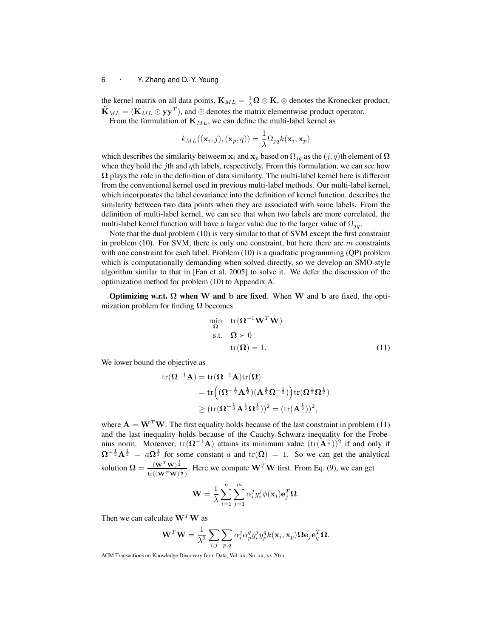the kernel matrix on all data points,  $\mathbf{K}_{ML} = \frac{1}{\lambda} \mathbf{\Omega} \otimes \mathbf{K}$ ,  $\otimes$  denotes the Kronecker product,  $\tilde{\mathbf{K}}_{ML} = (\mathbf{K}_{ML} \odot \mathbf{y} \mathbf{y}^T)$ , and  $\odot$  denotes the matrix elementwise product operator.

From the formulation of **K***ML*, we can define the multi-label kernel as

$$
k_{ML}((\mathbf{x}_i,j),(\mathbf{x}_p,q)) = \frac{1}{\lambda} \Omega_{jq} k(\mathbf{x}_i, \mathbf{x}_p)
$$

which describes the similarity betweem  $\mathbf{x}_i$  and  $\mathbf{x}_p$  based on  $\Omega_{ja}$  as the  $(j, q)$ th element of  $\Omega$ when they hold the *j*th and *q*th labels, respectively. From this formulation, we can see how **Ω** plays the role in the definition of data similarity. The multi-label kernel here is different from the conventional kernel used in previous multi-label methods. Our multi-label kernel, which incorporates the label covariance into the definition of kernel function, describes the similarity between two data points when they are associated with some labels. From the definition of multi-label kernel, we can see that when two labels are more correlated, the multi-label kernel function will have a larger value due to the larger value of  $\Omega_{ja}$ .

Note that the dual problem (10) is very similar to that of SVM except the first constraint in problem (10). For SVM, there is only one constraint, but here there are *m* constraints with one constraint for each label. Problem (10) is a quadratic programming (QP) problem which is computationally demanding when solved directly, so we develop an SMO-style algorithm similar to that in [Fan et al. 2005] to solve it. We defer the discussion of the optimization method for problem (10) to Appendix A.

Optimizing w.r.t. **Ω** when **W** and **b** are fixed*.* When **W** and **b** are fixed, the optimization problem for finding **Ω** becomes

$$
\min_{\Omega} \quad tr(\Omega^{-1} \mathbf{W}^T \mathbf{W})
$$
  
s.t. 
$$
\Omega \succ 0
$$
  

$$
tr(\Omega) = 1.
$$
 (11)

We lower bound the objective as

$$
\begin{aligned} \mathrm{tr}(\boldsymbol{\Omega}^{-1}\mathbf{A}) &= \mathrm{tr}(\boldsymbol{\Omega}^{-1}\mathbf{A})\mathrm{tr}(\boldsymbol{\Omega}) \\ &= \mathrm{tr}\Big((\boldsymbol{\Omega}^{-\frac{1}{2}}\mathbf{A}^{\frac{1}{2}})(\mathbf{A}^{\frac{1}{2}}\boldsymbol{\Omega}^{-\frac{1}{2}})\Big)\mathrm{tr}(\boldsymbol{\Omega}^{\frac{1}{2}}\boldsymbol{\Omega}^{\frac{1}{2}}) \\ &\geq (\mathrm{tr}(\boldsymbol{\Omega}^{-\frac{1}{2}}\mathbf{A}^{\frac{1}{2}}\boldsymbol{\Omega}^{\frac{1}{2}}))^2 = (\mathrm{tr}(\mathbf{A}^{\frac{1}{2}}))^2, \end{aligned}
$$

where  $\mathbf{A} = \mathbf{W}^T \mathbf{W}$ . The first equality holds because of the last constraint in problem (11) and the last inequality holds because of the Cauchy-Schwarz inequality for the Frobenius norm. Moreover,  $tr(\Omega^{-1}A)$  attains its minimum value  $(tr(A^{\frac{1}{2}}))^2$  if and only if  $\Omega^{-\frac{1}{2}}A^{\frac{1}{2}} = a\Omega^{\frac{1}{2}}$  for some constant *a* and tr( $\Omega$ ) = 1. So we can get the analytical solution  $\Omega = \frac{(\mathbf{W}^T \mathbf{W})^{\frac{1}{2}}}{\sqrt{(\mathbf{W}^T \mathbf{W})^2}}$  $\frac{(\mathbf{W}^T \mathbf{W})^2}{\ln((\mathbf{W}^T \mathbf{W})^{\frac{1}{2}})}$ . Here we compute  $\mathbf{W}^T \mathbf{W}$  first. From Eq. (9), we can get

$$
\mathbf{W} = \frac{1}{\lambda} \sum_{i=1}^{n} \sum_{j=1}^{m} \alpha_i^j y_i^j \phi(\mathbf{x}_i) \mathbf{e}_j^T \mathbf{\Omega}.
$$

Then we can calculate **W***<sup>T</sup>***W** as

$$
\mathbf{W}^T \mathbf{W} = \frac{1}{\lambda^2} \sum_{i,j} \sum_{p,q} \alpha_i^j \alpha_p^q y_i^j y_p^q k(\mathbf{x}_i, \mathbf{x}_p) \mathbf{\Omega} \mathbf{e}_j \mathbf{e}_q^T \mathbf{\Omega}.
$$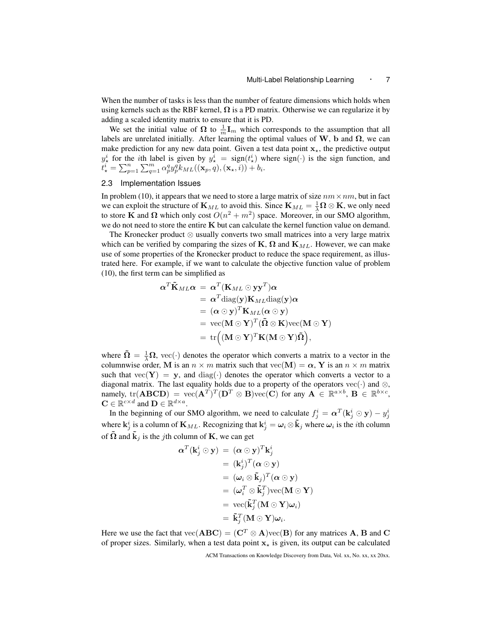When the number of tasks is less than the number of feature dimensions which holds when using kernels such as the RBF kernel,  $\Omega$  is a PD matrix. Otherwise we can regularize it by adding a scaled identity matrix to ensure that it is PD.

We set the initial value of  $\Omega$  to  $\frac{1}{m}I_m$  which corresponds to the assumption that all labels are unrelated initially. After learning the optimal values of  $W$ ,  $b$  and  $\Omega$ , we can make prediction for any new data point. Given a test data point  $\mathbf{x}_{\star}$ , the predictive output  $y^i_{\star}$  for the *i*th label is given by  $y^i_{\star} = \text{sign}(t^i_{\star})$  where  $\text{sign}(\cdot)$  is the sign function, and  $\widehat{u}^i_\star = \sum_{p=1}^n \sum_{q=1}^m \alpha_p^q y_p^q k_{ML}((\mathbf{x}_p,q),(\mathbf{x}_\star,i)) + b_i.$ 

#### 2.3 Implementation Issues

In problem (10), it appears that we need to store a large matrix of size  $nm \times nm$ , but in fact we can exploit the structure of  $\mathbf{K}_{ML}$  to avoid this. Since  $\mathbf{K}_{ML} = \frac{1}{\lambda} \mathbf{\Omega} \otimes \mathbf{K}$ , we only need to store **K** and  $\Omega$  which only cost  $O(n^2 + m^2)$  space. Moreover, in our SMO algorithm, we do not need to store the entire **K** but can calculate the kernel function value on demand.

The Kronecker product *⊗* usually converts two small matrices into a very large matrix which can be verified by comparing the sizes of  $\mathbf{K}, \mathbf{\Omega}$  and  $\mathbf{K}_{ML}$ . However, we can make use of some properties of the Kronecker product to reduce the space requirement, as illustrated here. For example, if we want to calculate the objective function value of problem (10), the first term can be simplified as

$$
\alpha^T \tilde{\mathbf{K}}_{ML} \alpha = \alpha^T (\mathbf{K}_{ML} \odot \mathbf{y} \mathbf{y}^T) \alpha \n= \alpha^T \text{diag}(\mathbf{y}) \mathbf{K}_{ML} \text{diag}(\mathbf{y}) \alpha \n= (\alpha \odot \mathbf{y})^T \mathbf{K}_{ML} (\alpha \odot \mathbf{y}) \n= \text{vec}(\mathbf{M} \odot \mathbf{Y})^T (\tilde{\mathbf{\Omega}} \otimes \mathbf{K}) \text{vec}(\mathbf{M} \odot \mathbf{Y}) \n= \text{tr} ((\mathbf{M} \odot \mathbf{Y})^T \mathbf{K} (\mathbf{M} \odot \mathbf{Y}) \tilde{\mathbf{\Omega}}),
$$

where  $\tilde{\Omega} = \frac{1}{\lambda} \Omega$ , vec(·) denotes the operator which converts a matrix to a vector in the columnwise order, **M** is an  $n \times m$  matrix such that vec(**M**) =  $\alpha$ , **Y** is an  $n \times m$  matrix such that  $\text{vec}(\mathbf{Y}) = \mathbf{y}$ , and diag( $\cdot$ ) denotes the operator which converts a vector to a diagonal matrix. The last equality holds due to a property of the operators vec $(\cdot)$  and  $\otimes$ ,  $\text{namely, tr}(\mathbf{ABCD}) = \text{vec}(\mathbf{A}^T)^T(\mathbf{D}^T \otimes \mathbf{B})\text{vec}(\mathbf{C})$  for any  $\mathbf{A} \in \mathbb{R}^{a \times b}$ ,  $\mathbf{B} \in \mathbb{R}^{b \times c}$ ,  $\mathbf{C} \in \mathbb{R}^{c \times d}$  and  $\mathbf{D} \in \mathbb{R}^{d \times a}$ .

In the beginning of our SMO algorithm, we need to calculate  $f_j^i = \alpha^T(\mathbf{k}_j^i \odot \mathbf{y}) - y_j^i$ where  $\mathbf{k}_j^i$  is a column of  $\mathbf{K}_{ML}$ . Recognizing that  $\mathbf{k}_j^i = \omega_i \otimes \tilde{\mathbf{k}}_j$  where  $\omega_i$  is the *i*th column of  $\Omega$  and  $\mathbf{k}_j$  is the *j*th column of **K**, we can get

$$
\begin{aligned} \boldsymbol{\alpha}^T (\mathbf{k}_j^i \odot \mathbf{y}) &= (\boldsymbol{\alpha} \odot \mathbf{y})^T \mathbf{k}_j^i \\ &= (\mathbf{k}_j^i)^T (\boldsymbol{\alpha} \odot \mathbf{y}) \\ &= (\boldsymbol{\omega}_i \otimes \tilde{\mathbf{k}}_j)^T (\boldsymbol{\alpha} \odot \mathbf{y}) \\ &= (\boldsymbol{\omega}_i^T \otimes \tilde{\mathbf{k}}_j^T) \text{vec}(\mathbf{M} \odot \mathbf{Y}) \\ &= \text{vec}(\tilde{\mathbf{k}}_j^T (\mathbf{M} \odot \mathbf{Y}) \boldsymbol{\omega}_i) \\ &= \tilde{\mathbf{k}}_j^T (\mathbf{M} \odot \mathbf{Y}) \boldsymbol{\omega}_i. \end{aligned}
$$

Here we use the fact that  $\text{vec}(\mathbf{ABC}) = (\mathbf{C}^T \otimes \mathbf{A})\text{vec}(\mathbf{B})$  for any matrices **A**, **B** and **C** of proper sizes. Similarly, when a test data point  $\mathbf{x}_\star$  is given, its output can be calculated

ACM Transactions on Knowledge Discovery from Data, Vol. xx, No. xx, xx 20xx.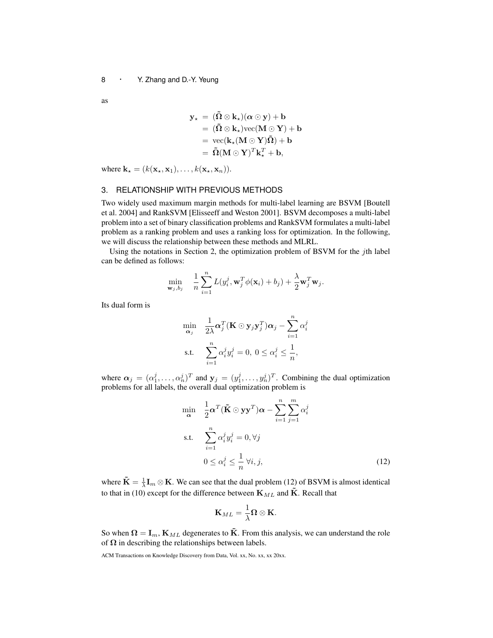as

$$
y_{\star} = (\tilde{\Omega} \otimes k_{\star})(\alpha \odot y) + b
$$
  
= (\tilde{\Omega} \otimes k\_{\star})vec(M \odot Y) + b  
= vec(k\_{\star}(M \odot Y)\tilde{\Omega}) + b  
= \tilde{\Omega}(M \odot Y)^{T}k\_{\star}^{T} + b,

where  $\mathbf{k}_\star = (k(\mathbf{x}_\star, \mathbf{x}_1), \dots, k(\mathbf{x}_\star, \mathbf{x}_n)).$ 

## 3. RELATIONSHIP WITH PREVIOUS METHODS

Two widely used maximum margin methods for multi-label learning are BSVM [Boutell et al. 2004] and RankSVM [Elisseeff and Weston 2001]. BSVM decomposes a multi-label problem into a set of binary classification problems and RankSVM formulates a multi-label problem as a ranking problem and uses a ranking loss for optimization. In the following, we will discuss the relationship between these methods and MLRL.

Using the notations in Section 2, the optimization problem of BSVM for the *j*th label can be defined as follows:

$$
\min_{\mathbf{w}_j, b_j} \quad \frac{1}{n} \sum_{i=1}^n L(y_i^j, \mathbf{w}_j^T \phi(\mathbf{x}_i) + b_j) + \frac{\lambda}{2} \mathbf{w}_j^T \mathbf{w}_j.
$$

Its dual form is

$$
\min_{\mathbf{\alpha}_j} \quad \frac{1}{2\lambda} \mathbf{\alpha}_j^T (\mathbf{K} \odot \mathbf{y}_j \mathbf{y}_j^T) \mathbf{\alpha}_j - \sum_{i=1}^n \alpha_i^j
$$
\ns.t. 
$$
\sum_{i=1}^n \alpha_i^j y_i^j = 0, \ 0 \le \alpha_i^j \le \frac{1}{n},
$$

where  $\alpha_j = (\alpha_1^j, \dots, \alpha_n^j)^T$  and  $\mathbf{y}_j = (y_1^j, \dots, y_n^j)^T$ . Combining the dual optimization problems for all labels, the overall dual optimization problem is

$$
\min_{\mathbf{\alpha}} \quad \frac{1}{2} \mathbf{\alpha}^T (\tilde{\mathbf{K}} \odot \mathbf{y} \mathbf{y}^T) \mathbf{\alpha} - \sum_{i=1}^n \sum_{j=1}^m \alpha_i^j
$$
\ns.t. 
$$
\sum_{i=1}^n \alpha_i^j y_i^j = 0, \forall j
$$
\n
$$
0 \le \alpha_i^j \le \frac{1}{n} \forall i, j,
$$
\n(12)

where  $\tilde{\mathbf{K}} = \frac{1}{\lambda} \mathbf{I}_m \otimes \mathbf{K}$ . We can see that the dual problem (12) of BSVM is almost identical to that in (10) except for the difference between  $\mathbf{K}_{ML}$  and  $\tilde{\mathbf{K}}$ . Recall that

$$
\mathbf{K}_{ML}=\frac{1}{\lambda}\mathbf{\Omega}\otimes\mathbf{K}.
$$

So when  $\Omega = I_m$ ,  $K_{ML}$  degenerates to  $\tilde{K}$ . From this analysis, we can understand the role of  $\Omega$  in describing the relationships between labels.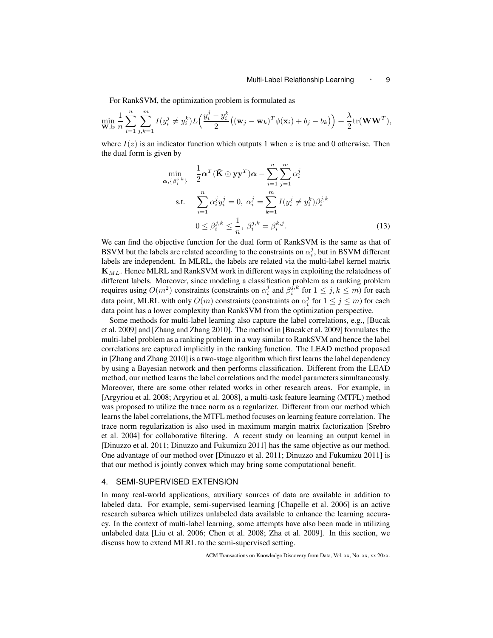For RankSVM, the optimization problem is formulated as

$$
\min_{\mathbf{W},\mathbf{b}} \frac{1}{n} \sum_{i=1}^n \sum_{j,k=1}^m I(y_i^j \neq y_i^k) L\left(\frac{y_i^j - y_i^k}{2} ((\mathbf{w}_j - \mathbf{w}_k)^T \phi(\mathbf{x}_i) + b_j - b_k)\right) + \frac{\lambda}{2} tr(\mathbf{W}\mathbf{W}^T),
$$

where  $I(z)$  is an indicator function which outputs 1 when z is true and 0 otherwise. Then the dual form is given by

$$
\min_{\mathbf{\alpha}, \{\beta_i^{j,k}\}} \quad \frac{1}{2} \mathbf{\alpha}^T (\tilde{\mathbf{K}} \odot \mathbf{y} \mathbf{y}^T) \mathbf{\alpha} - \sum_{i=1}^n \sum_{j=1}^m \alpha_i^j
$$
\n
$$
\text{s.t.} \quad \sum_{i=1}^n \alpha_i^j y_i^j = 0, \ \alpha_i^j = \sum_{k=1}^m I(y_i^j \neq y_i^k) \beta_i^{j,k}
$$
\n
$$
0 \leq \beta_i^{j,k} \leq \frac{1}{n}, \ \beta_i^{j,k} = \beta_i^{k,j}.
$$
\n(13)

We can find the objective function for the dual form of RankSVM is the same as that of BSVM but the labels are related according to the constraints on  $\alpha_i^j$ , but in BSVM different labels are independent. In MLRL, the labels are related via the multi-label kernel matrix **K***ML*. Hence MLRL and RankSVM work in different ways in exploiting the relatedness of different labels. Moreover, since modeling a classification problem as a ranking problem requires using  $O(m^2)$  constraints (constraints on  $\alpha_i^j$  and  $\beta_i^{j,k}$  for  $1 \le j, k \le m$ ) for each data point, MLRL with only  $O(m)$  constraints (constraints on  $\alpha_i^j$  for  $1 \leq j \leq m$ ) for each data point has a lower complexity than RankSVM from the optimization perspective.

Some methods for multi-label learning also capture the label correlations, e.g., [Bucak et al. 2009] and [Zhang and Zhang 2010]. The method in [Bucak et al. 2009] formulates the multi-label problem as a ranking problem in a way similar to RankSVM and hence the label correlations are captured implicitly in the ranking function. The LEAD method proposed in [Zhang and Zhang 2010] is a two-stage algorithm which first learns the label dependency by using a Bayesian network and then performs classification. Different from the LEAD method, our method learns the label correlations and the model parameters simultaneously. Moreover, there are some other related works in other research areas. For example, in [Argyriou et al. 2008; Argyriou et al. 2008], a multi-task feature learning (MTFL) method was proposed to utilize the trace norm as a regularizer. Different from our method which learns the label correlations, the MTFL method focuses on learning feature correlation. The trace norm regularization is also used in maximum margin matrix factorization [Srebro et al. 2004] for collaborative filtering. A recent study on learning an output kernel in [Dinuzzo et al. 2011; Dinuzzo and Fukumizu 2011] has the same objective as our method. One advantage of our method over [Dinuzzo et al. 2011; Dinuzzo and Fukumizu 2011] is that our method is jointly convex which may bring some computational benefit.

#### 4. SEMI-SUPERVISED EXTENSION

In many real-world applications, auxiliary sources of data are available in addition to labeled data. For example, semi-supervised learning [Chapelle et al. 2006] is an active research subarea which utilizes unlabeled data available to enhance the learning accuracy. In the context of multi-label learning, some attempts have also been made in utilizing unlabeled data [Liu et al. 2006; Chen et al. 2008; Zha et al. 2009]. In this section, we discuss how to extend MLRL to the semi-supervised setting.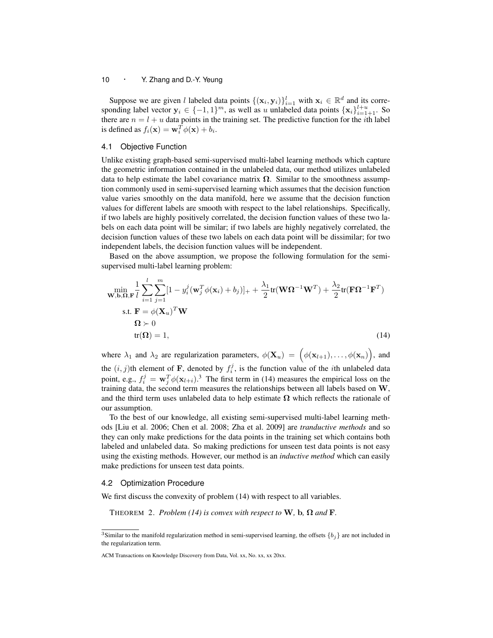Suppose we are given *l* labeled data points  $\{(\mathbf{x}_i, \mathbf{y}_i)\}_{i=1}^l$  with  $\mathbf{x}_i \in \mathbb{R}^d$  and its corresponding label vector  $\mathbf{y}_i \in \{-1, 1\}^m$ , as well as *u* unlabeled data points  $\{\mathbf{x}_i\}_{i=1+1}^{l+u}$ . So there are  $n = l + u$  data points in the training set. The predictive function for the *i*th label is defined as  $f_i(\mathbf{x}) = \mathbf{w}_i^T \phi(\mathbf{x}) + b_i$ .

# 4.1 Objective Function

Unlike existing graph-based semi-supervised multi-label learning methods which capture the geometric information contained in the unlabeled data, our method utilizes unlabeled data to help estimate the label covariance matrix  $\Omega$ . Similar to the smoothness assumption commonly used in semi-supervised learning which assumes that the decision function value varies smoothly on the data manifold, here we assume that the decision function values for different labels are smooth with respect to the label relationships. Specifically, if two labels are highly positively correlated, the decision function values of these two labels on each data point will be similar; if two labels are highly negatively correlated, the decision function values of these two labels on each data point will be dissimilar; for two independent labels, the decision function values will be independent.

Based on the above assumption, we propose the following formulation for the semisupervised multi-label learning problem:

$$
\min_{\mathbf{W},\mathbf{b},\mathbf{\Omega},\mathbf{F}} \frac{1}{l} \sum_{i=1}^{l} \sum_{j=1}^{m} [1 - y_i^j(\mathbf{w}_j^T \phi(\mathbf{x}_i) + b_j)]_+ + \frac{\lambda_1}{2} \text{tr}(\mathbf{W}\Omega^{-1}\mathbf{W}^T) + \frac{\lambda_2}{2} \text{tr}(\mathbf{F}\Omega^{-1}\mathbf{F}^T)
$$
\n
$$
\text{s.t. } \mathbf{F} = \phi(\mathbf{X}_u)^T \mathbf{W}
$$
\n
$$
\Omega \succ 0
$$
\n
$$
\text{tr}(\Omega) = 1,
$$
\n(14)

where  $\lambda_1$  and  $\lambda_2$  are regularization parameters,  $\phi(\mathbf{X}_u) = (\phi(\mathbf{x}_{l+1}), \dots, \phi(\mathbf{x}_n))$ , and the  $(i, j)$ th element of **F**, denoted by  $f_i^j$ , is the function value of the *i*th unlabeled data point, e.g.,  $f_i^j = \mathbf{w}_j^T \phi(\mathbf{x}_{l+i})$ .<sup>3</sup> The first term in (14) measures the empirical loss on the training data, the second term measures the relationships between all labels based on **W**, and the third term uses unlabeled data to help estimate  $\Omega$  which reflects the rationale of our assumption.

To the best of our knowledge, all existing semi-supervised multi-label learning methods [Liu et al. 2006; Chen et al. 2008; Zha et al. 2009] are *tranductive methods* and so they can only make predictions for the data points in the training set which contains both labeled and unlabeled data. So making predictions for unseen test data points is not easy using the existing methods. However, our method is an *inductive method* which can easily make predictions for unseen test data points.

# 4.2 Optimization Procedure

We first discuss the convexity of problem (14) with respect to all variables.

THEOREM 2. *Problem* (14) is convex with respect to **W**, **b**,  $\Omega$  and **F**.

<sup>3</sup>Similar to the manifold regularization method in semi-supervised learning, the offsets *{bj}* are not included in the regularization term.

ACM Transactions on Knowledge Discovery from Data, Vol. xx, No. xx, xx 20xx.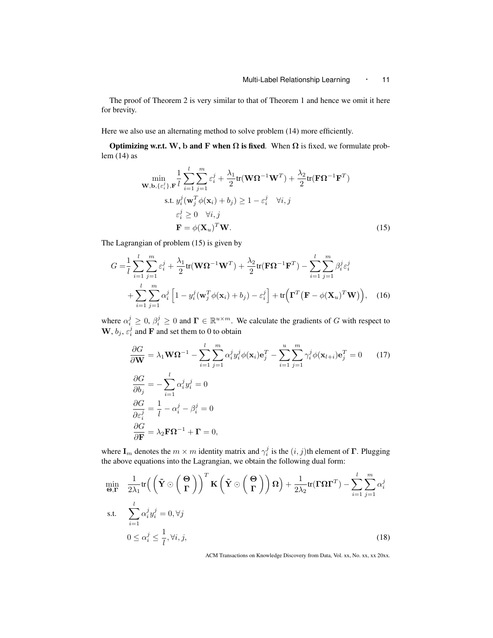The proof of Theorem 2 is very similar to that of Theorem 1 and hence we omit it here for brevity.

Here we also use an alternating method to solve problem  $(14)$  more efficiently.

**Optimizing w.r.t. W, b and F when**  $\Omega$  **is fixed.** When  $\Omega$  is fixed, we formulate problem (14) as

$$
\min_{\mathbf{W}, \mathbf{b}, \{\varepsilon_i^j\}, \mathbf{F}} \frac{1}{l} \sum_{i=1}^l \sum_{j=1}^m \varepsilon_i^j + \frac{\lambda_1}{2} \text{tr}(\mathbf{W}\Omega^{-1}\mathbf{W}^T) + \frac{\lambda_2}{2} \text{tr}(\mathbf{F}\Omega^{-1}\mathbf{F}^T)
$$
\n
$$
\text{s.t. } y_i^j (\mathbf{w}_j^T \phi(\mathbf{x}_i) + b_j) \ge 1 - \varepsilon_i^j \quad \forall i, j
$$
\n
$$
\varepsilon_i^j \ge 0 \quad \forall i, j
$$
\n
$$
\mathbf{F} = \phi(\mathbf{X}_u)^T \mathbf{W}.
$$
\n(15)

The Lagrangian of problem (15) is given by

$$
G = \frac{1}{l} \sum_{i=1}^{l} \sum_{j=1}^{m} \varepsilon_i^j + \frac{\lambda_1}{2} tr(\mathbf{W} \mathbf{\Omega}^{-1} \mathbf{W}^T) + \frac{\lambda_2}{2} tr(\mathbf{F} \mathbf{\Omega}^{-1} \mathbf{F}^T) - \sum_{i=1}^{l} \sum_{j=1}^{m} \beta_i^j \varepsilon_i^j
$$
  
+ 
$$
\sum_{i=1}^{l} \sum_{j=1}^{m} \alpha_i^j \left[ 1 - y_i^j(\mathbf{w}_j^T \phi(\mathbf{x}_i) + b_j) - \varepsilon_i^j \right] + tr\left( \mathbf{\Gamma}^T (\mathbf{F} - \phi(\mathbf{X}_u)^T \mathbf{W}) \right), \quad (16)
$$

where  $\alpha_i^j \geq 0$ ,  $\beta_i^j \geq 0$  and  $\mathbf{\Gamma} \in \mathbb{R}^{u \times m}$ . We calculate the gradients of *G* with respect to  $\mathbf{W}, b_j, \varepsilon_i^j$  and  $\mathbf{F}$  and set them to 0 to obtain

$$
\frac{\partial G}{\partial \mathbf{W}} = \lambda_1 \mathbf{W} \Omega^{-1} - \sum_{i=1}^{l} \sum_{j=1}^{m} \alpha_i^j y_i^j \phi(\mathbf{x}_i) \mathbf{e}_j^T - \sum_{i=1}^{u} \sum_{j=1}^{m} \gamma_i^j \phi(\mathbf{x}_{l+i}) \mathbf{e}_j^T = 0 \qquad (17)
$$
  

$$
\frac{\partial G}{\partial b_j} = - \sum_{i=1}^{l} \alpha_i^j y_i^j = 0
$$
  

$$
\frac{\partial G}{\partial \varepsilon_i^j} = \frac{1}{l} - \alpha_i^j - \beta_i^j = 0
$$
  

$$
\frac{\partial G}{\partial \mathbf{F}} = \lambda_2 \mathbf{F} \Omega^{-1} + \mathbf{\Gamma} = 0,
$$

where  $\mathbf{I}_m$  denotes the  $m \times m$  identity matrix and  $\gamma_i^j$  is the  $(i, j)$ th element of  $\mathbf{\Gamma}$ . Plugging the above equations into the Lagrangian, we obtain the following dual form:

$$
\min_{\Theta, \Gamma} \quad \frac{1}{2\lambda_1} tr\left( \left( \tilde{\mathbf{Y}} \odot \left( \frac{\Theta}{\Gamma} \right) \right)^T \mathbf{K} \left( \tilde{\mathbf{Y}} \odot \left( \frac{\Theta}{\Gamma} \right) \right) \Omega \right) + \frac{1}{2\lambda_2} tr(\Gamma \Omega \Gamma^T) - \sum_{i=1}^l \sum_{j=1}^m \alpha_i^j
$$
\ns.t. 
$$
\sum_{i=1}^l \alpha_i^j y_i^j = 0, \forall j
$$
\n
$$
0 \le \alpha_i^j \le \frac{1}{l}, \forall i, j,
$$
\n(18)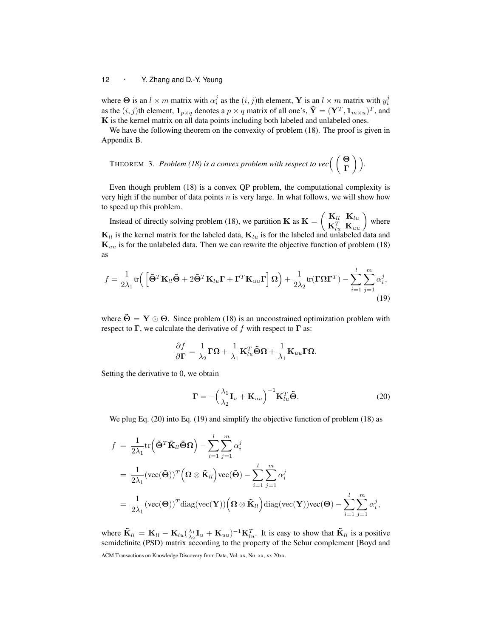where  $\Theta$  is an  $l \times m$  matrix with  $\alpha_i^j$  as the  $(i, j)$ th element, **Y** is an  $l \times m$  matrix with  $y_i^j$ as the  $(i, j)$ th element,  $\mathbf{1}_{p \times q}$  denotes a  $p \times q$  matrix of all one's,  $\tilde{\mathbf{Y}} = (\mathbf{Y}^T, \mathbf{1}_{m \times u})^T$ , and **K** is the kernel matrix on all data points including both labeled and unlabeled ones.

We have the following theorem on the convexity of problem (18). The proof is given in Appendix B.

<sup>T</sup>HEOREM 3. *Problem (18) is a convex problem with respect to vec*( ( **Θ Γ** ) ) *.*

Even though problem (18) is a convex QP problem, the computational complexity is very high if the number of data points *n* is very large. In what follows, we will show how to speed up this problem.

Instead of directly solving problem (18), we partition  $\bf{K}$  as  $\bf{K}$  =  $\left( \begin{array}{cc} \mathbf{K}_{ll} & \mathbf{K}_{lu} \end{array} \right)$  $\mathbf{K}_{lu}^T$  **K**<sub>*lu*</sub></sub>  $\mathbf{K}_{lu}^T$  where  $\mathbf{K}_{ll}$  is the kernel matrix for the labeled data,  $\mathbf{K}_{lu}$  is for the labeled and unlabeled data and  $\mathbf{K}_{uu}$  is for the unlabeled data. Then we can rewrite the objective function of problem (18) as

$$
f = \frac{1}{2\lambda_1} \text{tr} \left( \left[ \tilde{\Theta}^T \mathbf{K}_{ll} \tilde{\Theta} + 2 \tilde{\Theta}^T \mathbf{K}_{lu} \mathbf{\Gamma} + \mathbf{\Gamma}^T \mathbf{K}_{uu} \mathbf{\Gamma} \right] \Omega \right) + \frac{1}{2\lambda_2} \text{tr}(\mathbf{\Gamma} \Omega \mathbf{\Gamma}^T) - \sum_{i=1}^l \sum_{j=1}^m \alpha_i^j,
$$
\n(19)

where  $\ddot{\Theta} = \mathbf{Y} \odot \mathbf{\Theta}$ . Since problem (18) is an unconstrained optimization problem with respect to  $\Gamma$ , we calculate the derivative of f with respect to  $\Gamma$  as:

$$
\frac{\partial f}{\partial \boldsymbol{\Gamma}} = \frac{1}{\lambda_2} \boldsymbol{\Gamma} \boldsymbol{\Omega} + \frac{1}{\lambda_1} \mathbf{K}_{lu}^T \tilde{\boldsymbol{\Theta}} \boldsymbol{\Omega} + \frac{1}{\lambda_1} \mathbf{K}_{uu} \boldsymbol{\Gamma} \boldsymbol{\Omega}.
$$

Setting the derivative to 0, we obtain

$$
\mathbf{\Gamma} = -\left(\frac{\lambda_1}{\lambda_2}\mathbf{I}_u + \mathbf{K}_{uu}\right)^{-1}\mathbf{K}_{lu}^T\tilde{\mathbf{\Theta}}.
$$
 (20)

We plug Eq. (20) into Eq. (19) and simplify the objective function of problem (18) as

$$
f = \frac{1}{2\lambda_1} tr(\tilde{\Theta}^T \tilde{\mathbf{K}}_{ll} \tilde{\Theta} \Omega) - \sum_{i=1}^l \sum_{j=1}^m \alpha_i^j
$$
  
=  $\frac{1}{2\lambda_1} (vec(\Theta))^T (\Omega \otimes \tilde{\mathbf{K}}_{ll}) vec(\tilde{\Theta}) - \sum_{i=1}^l \sum_{j=1}^m \alpha_i^j$   
=  $\frac{1}{2\lambda_1} (vec(\Theta))^T diag(vec(\mathbf{Y})) (\Omega \otimes \tilde{\mathbf{K}}_{ll}) diag(vec(\mathbf{Y})) vec(\Theta) - \sum_{i=1}^l \sum_{j=1}^m \alpha_i^j,$ 

where  $\tilde{\mathbf{K}}_{ll} = \mathbf{K}_{ll} - \mathbf{K}_{lu} (\frac{\lambda_1}{\lambda_2} \mathbf{I}_u + \mathbf{K}_{uu})^{-1} \mathbf{K}_{lu}^T$ . It is easy to show that  $\tilde{\mathbf{K}}_{ll}$  is a positive semidefinite (PSD) matrix according to the property of the Schur complement [Boyd and ACM Transactions on Knowledge Discovery from Data, Vol. xx, No. xx, xx 20xx.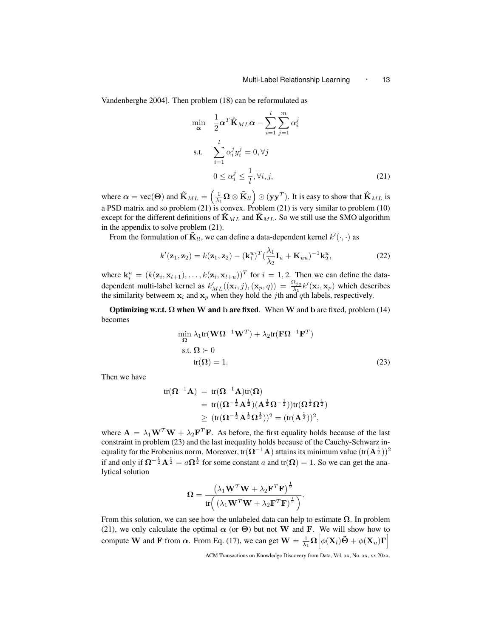Vandenberghe 2004]. Then problem (18) can be reformulated as

$$
\min_{\mathbf{\alpha}} \quad \frac{1}{2} \mathbf{\alpha}^T \hat{\mathbf{K}}_{ML} \mathbf{\alpha} - \sum_{i=1}^l \sum_{j=1}^m \alpha_i^j
$$
\n
$$
\text{s.t.} \quad \sum_{i=1}^l \alpha_i^j y_i^j = 0, \forall j
$$
\n
$$
0 \le \alpha_i^j \le \frac{1}{l}, \forall i, j,
$$
\n(21)

where  $\alpha = \text{vec}(\Theta)$  and  $\hat{\mathbf{K}}_{ML} = \left(\frac{1}{\lambda_1}\Omega \otimes \tilde{\mathbf{K}}_{ll}\right) \odot (\mathbf{y}\mathbf{y}^T)$ . It is easy to show that  $\hat{\mathbf{K}}_{ML}$  is a PSD matrix and so problem  $(21)$  is convex. Problem  $(21)$  is very similar to problem  $(10)$ except for the different definitions of  $\mathbf{\hat{K}}_{ML}$  and  $\mathbf{\hat{K}}_{ML}$ . So we still use the SMO algorithm in the appendix to solve problem (21).

From the formulation of  $\mathbf{\tilde{K}}_{ll}$ , we can define a data-dependent kernel  $k'(\cdot, \cdot)$  as

$$
k'(\mathbf{z}_1, \mathbf{z}_2) = k(\mathbf{z}_1, \mathbf{z}_2) - (\mathbf{k}_1^u)^T (\frac{\lambda_1}{\lambda_2} \mathbf{I}_u + \mathbf{K}_{uu})^{-1} \mathbf{k}_2^u,
$$
 (22)

where  $\mathbf{k}_i^u = (k(\mathbf{z}_i, \mathbf{x}_{l+1}), \dots, k(\mathbf{z}_i, \mathbf{x}_{l+u}))^T$  for  $i = 1, 2$ . Then we can define the datadependent multi-label kernel as  $k'_{ML}((\mathbf{x}_i, j), (\mathbf{x}_p, q)) = \frac{\Omega_{ja}}{\lambda_1} k'(\mathbf{x}_i, \mathbf{x}_p)$  which describes the similarity betweem  $\mathbf{x}_i$  and  $\mathbf{x}_p$  when they hold the *j*th and *q*th labels, respectively.

Optimizing w.r.t. **Ω** when **W** and **b** are fixed*.* When **W** and **b** are fixed, problem (14) becomes

$$
\min_{\Omega} \lambda_1 \text{tr}(\mathbf{W}\Omega^{-1}\mathbf{W}^T) + \lambda_2 \text{tr}(\mathbf{F}\Omega^{-1}\mathbf{F}^T)
$$
  
s.t.  $\Omega \succ 0$   
tr( $\Omega$ ) = 1. (23)

Then we have

$$
\begin{aligned} \text{tr}(\boldsymbol{\Omega}^{-1}\textbf{A}) \;&=\; \text{tr}(\boldsymbol{\Omega}^{-1}\textbf{A})\text{tr}(\boldsymbol{\Omega}) \\ & = \; \text{tr}((\boldsymbol{\Omega}^{-\frac{1}{2}}\textbf{A}^{\frac{1}{2}})(\textbf{A}^{\frac{1}{2}}\boldsymbol{\Omega}^{-\frac{1}{2}}))\text{tr}(\boldsymbol{\Omega}^{\frac{1}{2}}\boldsymbol{\Omega}^{\frac{1}{2}}) \\ & \geq \; (\text{tr}(\boldsymbol{\Omega}^{-\frac{1}{2}}\textbf{A}^{\frac{1}{2}}\boldsymbol{\Omega}^{\frac{1}{2}}))^2 = (\text{tr}(\textbf{A}^{\frac{1}{2}}))^2, \end{aligned}
$$

where  $\mathbf{A} = \lambda_1 \mathbf{W}^T \mathbf{W} + \lambda_2 \mathbf{F}^T \mathbf{F}$ . As before, the first equality holds because of the last constraint in problem (23) and the last inequality holds because of the Cauchy-Schwarz inequality for the Frobenius norm. Moreover, tr(**Ω***<sup>−</sup>*<sup>1</sup>**A**) attains its minimum value (tr(**A** 1 <sup>2</sup> ))<sup>2</sup> if and only if  $\Omega^{-\frac{1}{2}}A^{\frac{1}{2}} = a\Omega^{\frac{1}{2}}$  for some constant *a* and tr( $\Omega$ ) = 1. So we can get the analytical solution

$$
\boldsymbol{\Omega} = \frac{\left(\lambda_1 \mathbf{W}^T \mathbf{W} + \lambda_2 \mathbf{F}^T \mathbf{F}\right)^{\frac{1}{2}}}{\text{tr}\left(\left(\lambda_1 \mathbf{W}^T \mathbf{W} + \lambda_2 \mathbf{F}^T \mathbf{F}\right)^{\frac{1}{2}}\right)}.
$$

From this solution, we can see how the unlabeled data can help to estimate **Ω**. In problem (21), we only calculate the optimal  $\alpha$  (or  $\Theta$ ) but not **W** and **F**. We will show how to compute **W** and **F** from  $\alpha$ . From Eq. (17), we can get  $\mathbf{W} = \frac{1}{\lambda_1} \Omega \left[ \phi(\mathbf{X}_l) \tilde{\mathbf{\Theta}} + \phi(\mathbf{X}_u) \mathbf{\Gamma} \right]$ 

ACM Transactions on Knowledge Discovery from Data, Vol. xx, No. xx, xx 20xx.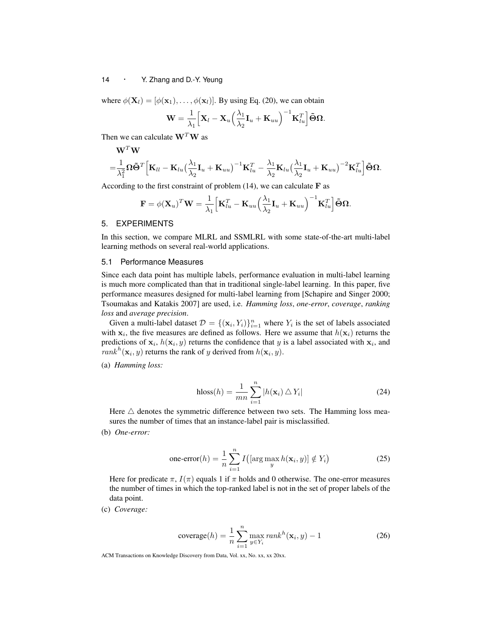where  $\phi(\mathbf{X}_l) = [\phi(\mathbf{x}_1), \dots, \phi(\mathbf{x}_l)]$ . By using Eq. (20), we can obtain

$$
\mathbf{W} = \frac{1}{\lambda_1} \Big[ \mathbf{X}_l - \mathbf{X}_u \Big( \frac{\lambda_1}{\lambda_2} \mathbf{I}_u + \mathbf{K}_{uu} \Big)^{-1} \mathbf{K}_{lu}^T \Big] \tilde{\boldsymbol{\Theta}} \boldsymbol{\Omega}.
$$

Then we can calculate **W***<sup>T</sup>***W** as

$$
\begin{aligned} &\mathbf{W}^T\mathbf{W}\\ =&\frac{1}{\lambda_1^2}\boldsymbol{\Omega}\tilde{\boldsymbol{\Theta}}^T\Big[\mathbf{K}_{ll}-\mathbf{K}_{lu}\big(\frac{\lambda_1}{\lambda_2}\mathbf{I}_u+\mathbf{K}_{uu}\big)^{-1}\mathbf{K}_{lu}^T-\frac{\lambda_1}{\lambda_2}\mathbf{K}_{lu}\big(\frac{\lambda_1}{\lambda_2}\mathbf{I}_u+\mathbf{K}_{uu}\big)^{-2}\mathbf{K}_{lu}^T\Big]\tilde{\boldsymbol{\Theta}}\boldsymbol{\Omega}. \end{aligned}
$$

According to the first constraint of problem  $(14)$ , we can calculate **F** as

$$
\mathbf{F} = \phi(\mathbf{X}_u)^T \mathbf{W} = \frac{1}{\lambda_1} \Big[ \mathbf{K}_{lu}^T - \mathbf{K}_{uu} \Big( \frac{\lambda_1}{\lambda_2} \mathbf{I}_u + \mathbf{K}_{uu} \Big)^{-1} \mathbf{K}_{lu}^T \Big] \tilde{\boldsymbol{\Theta}} \boldsymbol{\Omega}.
$$

## 5. EXPERIMENTS

In this section, we compare MLRL and SSMLRL with some state-of-the-art multi-label learning methods on several real-world applications.

## 5.1 Performance Measures

Since each data point has multiple labels, performance evaluation in multi-label learning is much more complicated than that in traditional single-label learning. In this paper, five performance measures designed for multi-label learning from [Schapire and Singer 2000; Tsoumakas and Katakis 2007] are used, i.e. *Hamming loss*, *one-error*, *coverage*, *ranking loss* and *average precision*.

Given a multi-label dataset  $\mathcal{D} = \{(\mathbf{x}_i, Y_i)\}_{i=1}^n$  where  $Y_i$  is the set of labels associated with  $x_i$ , the five measures are defined as follows. Here we assume that  $h(x_i)$  returns the predictions of  $\mathbf{x}_i$ ,  $h(\mathbf{x}_i, y)$  returns the confidence that *y* is a label associated with  $\mathbf{x}_i$ , and *rank*<sup>*h*</sup>( $\mathbf{x}_i$ , *y*) returns the rank of *y* derived from  $h(\mathbf{x}_i, y)$ .

(a) *Hamming loss:*

$$
\text{hloss}(h) = \frac{1}{mn} \sum_{i=1}^{n} |h(\mathbf{x}_i) \triangle Y_i|
$$
 (24)

Here  $\triangle$  denotes the symmetric difference between two sets. The Hamming loss measures the number of times that an instance-label pair is misclassified.

(b) *One-error:*

one-error
$$
(h)
$$
 =  $\frac{1}{n} \sum_{i=1}^{n} I\left(\left[\arg\max_{y} h(\mathbf{x}_i, y)\right] \notin Y_i\right)$  (25)

Here for predicate  $\pi$ ,  $I(\pi)$  equals 1 if  $\pi$  holds and 0 otherwise. The one-error measures the number of times in which the top-ranked label is not in the set of proper labels of the data point.

(c) *Coverage:*

$$
\text{coverage}(h) = \frac{1}{n} \sum_{i=1}^{n} \max_{y \in Y_i} rank^h(\mathbf{x}_i, y) - 1 \tag{26}
$$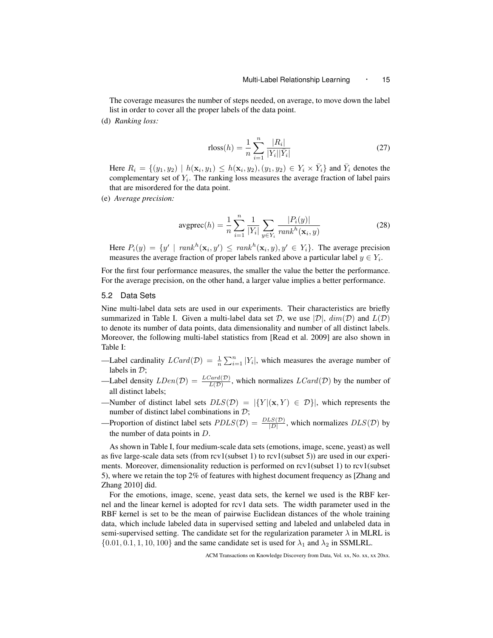The coverage measures the number of steps needed, on average, to move down the label list in order to cover all the proper labels of the data point.

(d) *Ranking loss:*

rloss
$$
(h)
$$
 =  $\frac{1}{n} \sum_{i=1}^{n} \frac{|R_i|}{|Y_i||\bar{Y}_i|}$  (27)

Here  $R_i = \{(y_1, y_2) \mid h(\mathbf{x}_i, y_1) \leq h(\mathbf{x}_i, y_2), (y_1, y_2) \in Y_i \times \overline{Y}_i\}$  and  $\overline{Y}_i$  denotes the complementary set of *Y<sup>i</sup>* . The ranking loss measures the average fraction of label pairs that are misordered for the data point.

(e) *Average precision:*

$$
avgprec(h) = \frac{1}{n} \sum_{i=1}^{n} \frac{1}{|Y_i|} \sum_{y \in Y_i} \frac{|P_i(y)|}{rank^h(\mathbf{x}_i, y)}
$$
(28)

Here  $P_i(y) = \{y' \mid \text{rank}^h(\mathbf{x}_i, y') \leq \text{rank}^h(\mathbf{x}_i, y), y' \in Y_i\}.$  The average precision measures the average fraction of proper labels ranked above a particular label  $y \in Y_i$ .

For the first four performance measures, the smaller the value the better the performance. For the average precision, on the other hand, a larger value implies a better performance.

#### 5.2 Data Sets

Nine multi-label data sets are used in our experiments. Their characteristics are briefly summarized in Table I. Given a multi-label data set *D*, we use  $|\mathcal{D}|$ ,  $dim(\mathcal{D})$  and  $L(\mathcal{D})$ to denote its number of data points, data dimensionality and number of all distinct labels. Moreover, the following multi-label statistics from [Read et al. 2009] are also shown in Table I:

- —Label cardinality  $LCard(\mathcal{D}) = \frac{1}{n} \sum_{i=1}^{n} |Y_i|$ , which measures the average number of labels in *D*;
- —Label density  $LDen(\mathcal{D}) = \frac{LCard(\mathcal{D})}{L(\mathcal{D})}$ , which normalizes  $LCard(\mathcal{D})$  by the number of all distinct labels;
- —Number of distinct label sets  $DLS(\mathcal{D}) = |\{Y | (\mathbf{x}, Y) \in \mathcal{D}\}|$ , which represents the number of distinct label combinations in *D*;
- —Proportion of distinct label sets  $PDLS(\mathcal{D}) = \frac{DLS(\mathcal{D})}{|D|}$ , which normalizes  $DLS(\mathcal{D})$  by the number of data points in *D*.

As shown in Table I, four medium-scale data sets (emotions, image, scene, yeast) as well as five large-scale data sets (from rcv1(subset 1) to rcv1(subset 5)) are used in our experiments. Moreover, dimensionality reduction is performed on rcv1(subset 1) to rcv1(subset 5), where we retain the top 2% of features with highest document frequency as [Zhang and Zhang 2010] did.

For the emotions, image, scene, yeast data sets, the kernel we used is the RBF kernel and the linear kernel is adopted for rcv1 data sets. The width parameter used in the RBF kernel is set to be the mean of pairwise Euclidean distances of the whole training data, which include labeled data in supervised setting and labeled and unlabeled data in semi-supervised setting. The candidate set for the regularization parameter  $\lambda$  in MLRL is  $\{0.01, 0.1, 1, 10, 100\}$  and the same candidate set is used for  $\lambda_1$  and  $\lambda_2$  in SSMLRL.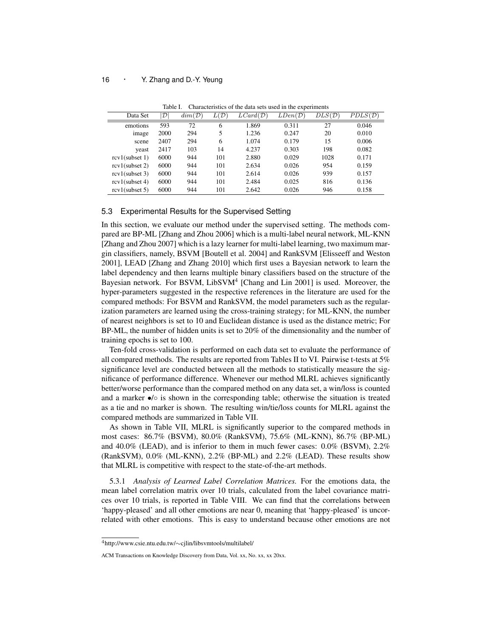| Data Set          | $\mathcal{D}$ | $dim(\mathcal{D})$ | L(D) | $LCard(\mathcal{D})$ | $LDen(\mathcal{D})$ | $DLS(\mathcal{D})$ | $PDLS(\mathcal{D})$ |
|-------------------|---------------|--------------------|------|----------------------|---------------------|--------------------|---------------------|
| emotions          | 593           | 72                 | 6    | 1.869                | 0.311               | 27                 | 0.046               |
| image             | 2000          | 294                | 5    | 1.236                | 0.247               | 20                 | 0.010               |
| scene             | 2407          | 294                | 6    | 1.074                | 0.179               | 15                 | 0.006               |
| yeast             | 2417          | 103                | 14   | 4.237                | 0.303               | 198                | 0.082               |
| $rcv1$ (subset 1) | 6000          | 944                | 101  | 2.880                | 0.029               | 1028               | 0.171               |
| $rcv1$ (subset 2) | 6000          | 944                | 101  | 2.634                | 0.026               | 954                | 0.159               |
| $rcv1$ (subset 3) | 6000          | 944                | 101  | 2.614                | 0.026               | 939                | 0.157               |
| $rcv1$ (subset 4) | 6000          | 944                | 101  | 2.484                | 0.025               | 816                | 0.136               |
| $rcv1$ (subset 5) | 6000          | 944                | 101  | 2.642                | 0.026               | 946                | 0.158               |

Table I. Characteristics of the data sets used in the experiments

## 5.3 Experimental Results for the Supervised Setting

In this section, we evaluate our method under the supervised setting. The methods compared are BP-ML [Zhang and Zhou 2006] which is a multi-label neural network, ML-KNN [Zhang and Zhou 2007] which is a lazy learner for multi-label learning, two maximum margin classifiers, namely, BSVM [Boutell et al. 2004] and RankSVM [Elisseeff and Weston 2001], LEAD [Zhang and Zhang 2010] which first uses a Bayesian network to learn the label dependency and then learns multiple binary classifiers based on the structure of the Bayesian network. For BSVM, LibSVM<sup>4</sup> [Chang and Lin 2001] is used. Moreover, the hyper-parameters suggested in the respective references in the literature are used for the compared methods: For BSVM and RankSVM, the model parameters such as the regularization parameters are learned using the cross-training strategy; for ML-KNN, the number of nearest neighbors is set to 10 and Euclidean distance is used as the distance metric; For BP-ML, the number of hidden units is set to 20% of the dimensionality and the number of training epochs is set to 100.

Ten-fold cross-validation is performed on each data set to evaluate the performance of all compared methods. The results are reported from Tables II to VI. Pairwise t-tests at 5% significance level are conducted between all the methods to statistically measure the significance of performance difference. Whenever our method MLRL achieves significantly better/worse performance than the compared method on any data set, a win/loss is counted and a marker *•*/*◦* is shown in the corresponding table; otherwise the situation is treated as a tie and no marker is shown. The resulting win/tie/loss counts for MLRL against the compared methods are summarized in Table VII.

As shown in Table VII, MLRL is significantly superior to the compared methods in most cases: 86.7% (BSVM), 80.0% (RankSVM), 75.6% (ML-KNN), 86.7% (BP-ML) and 40.0% (LEAD), and is inferior to them in much fewer cases: 0.0% (BSVM), 2.2% (RankSVM), 0.0% (ML-KNN), 2.2% (BP-ML) and 2.2% (LEAD). These results show that MLRL is competitive with respect to the state-of-the-art methods.

5.3.1 *Analysis of Learned Label Correlation Matrices.* For the emotions data, the mean label correlation matrix over 10 trials, calculated from the label covariance matrices over 10 trials, is reported in Table VIII. We can find that the correlations between 'happy-pleased' and all other emotions are near 0, meaning that 'happy-pleased' is uncorrelated with other emotions. This is easy to understand because other emotions are not

<sup>4</sup>http://www.csie.ntu.edu.tw/*∼*cjlin/libsvmtools/multilabel/

ACM Transactions on Knowledge Discovery from Data, Vol. xx, No. xx, xx 20xx.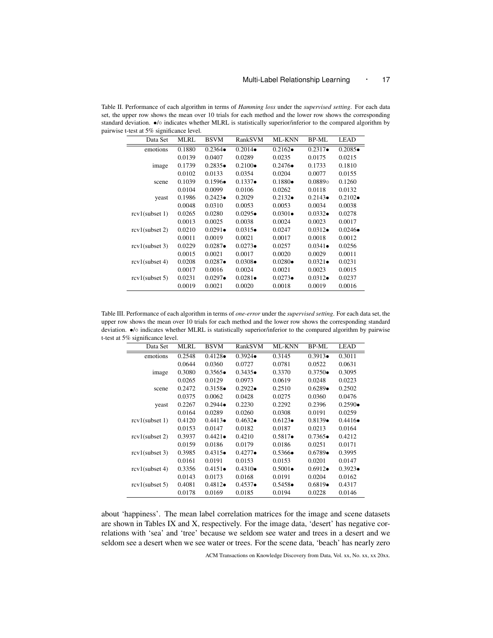Table II. Performance of each algorithm in terms of *Hamming loss* under the *supervised setting*. For each data set, the upper row shows the mean over 10 trials for each method and the lower row shows the corresponding standard deviation. *•*/*◦* indicates whether MLRL is statistically superior/inferior to the compared algorithm by pairwise t-test at 5% significance level.

| Data Set          | MLRL   | <b>BSVM</b>      | RankSVM          | <b>ML-KNN</b>    | BP-ML            | LEAD             |
|-------------------|--------|------------------|------------------|------------------|------------------|------------------|
| emotions          | 0.1880 | $0.2364 \bullet$ | $0.2014 \bullet$ | $0.2162 \bullet$ | $0.2317 \bullet$ | $0.2085 \bullet$ |
|                   | 0.0139 | 0.0407           | 0.0289           | 0.0235           | 0.0175           | 0.0215           |
| image             | 0.1739 | $0.2835 \bullet$ | $0.2100 \bullet$ | $0.2476\bullet$  | 0.1733           | 0.1810           |
|                   | 0.0102 | 0.0133           | 0.0354           | 0.0204           | 0.0077           | 0.0155           |
| scene             | 0.1039 | $0.1596\bullet$  | $0.1337 \bullet$ | $0.1880\bullet$  | $0.0889$ o       | 0.1260           |
|                   | 0.0104 | 0.0099           | 0.0106           | 0.0262           | 0.0118           | 0.0132           |
| yeast             | 0.1986 | $0.2423\bullet$  | 0.2029           | $0.2132 \bullet$ | $0.2143 \bullet$ | $0.2102 \bullet$ |
|                   | 0.0048 | 0.0310           | 0.0053           | 0.0053           | 0.0034           | 0.0038           |
| $rcv1$ (subset 1) | 0.0265 | 0.0280           | $0.0295 \bullet$ | $0.0301 \bullet$ | $0.0332 \bullet$ | 0.0278           |
|                   | 0.0013 | 0.0025           | 0.0038           | 0.0024           | 0.0023           | 0.0017           |
| $rcv1$ (subset 2) | 0.0210 | $0.0291 \bullet$ | $0.0315\bullet$  | 0.0247           | $0.0312 \bullet$ | $0.0246\bullet$  |
|                   | 0.0011 | 0.0019           | 0.0021           | 0.0017           | 0.0018           | 0.0012           |
| $rcv1$ (subset 3) | 0.0229 | $0.0287 \bullet$ | $0.0273\bullet$  | 0.0257           | $0.0341 \bullet$ | 0.0256           |
|                   | 0.0015 | 0.0021           | 0.0017           | 0.0020           | 0.0029           | 0.0011           |
| $rcv1$ (subset 4) | 0.0208 | $0.0287 \bullet$ | $0.0308 \bullet$ | $0.0280 \bullet$ | $0.0321 \bullet$ | 0.0231           |
|                   | 0.0017 | 0.0016           | 0.0024           | 0.0021           | 0.0023           | 0.0015           |
| $rcv1$ (subset 5) | 0.0231 | $0.0297 \bullet$ | $0.0281 \bullet$ | $0.0273\bullet$  | $0.0312 \bullet$ | 0.0237           |
|                   | 0.0019 | 0.0021           | 0.0020           | 0.0018           | 0.0019           | 0.0016           |

Table III. Performance of each algorithm in terms of *one-error* under the *supervised setting*. For each data set, the upper row shows the mean over 10 trials for each method and the lower row shows the corresponding standard deviation. *•*/*◦* indicates whether MLRL is statistically superior/inferior to the compared algorithm by pairwise t-test at 5% significance level.

| Data Set          | <b>MLRL</b> | <b>BSVM</b>      | RankSVM          | <b>ML-KNN</b>    | <b>BP-ML</b>     | <b>LEAD</b>      |
|-------------------|-------------|------------------|------------------|------------------|------------------|------------------|
| emotions          | 0.2548      | $0.4128 \bullet$ | $0.3924 \bullet$ | 0.3145           | $0.3913\bullet$  | 0.3011           |
|                   | 0.0644      | 0.0360           | 0.0727           | 0.0781           | 0.0522           | 0.0631           |
| image             | 0.3080      | $0.3565 \bullet$ | $0.3435 \bullet$ | 0.3370           | $0.3750 \bullet$ | 0.3095           |
|                   | 0.0265      | 0.0129           | 0.0973           | 0.0619           | 0.0248           | 0.0223           |
| scene             | 0.2472      | $0.3158 \bullet$ | $0.2922 \bullet$ | 0.2510           | $0.6289 \bullet$ | 0.2502           |
|                   | 0.0375      | 0.0062           | 0.0428           | 0.0275           | 0.0360           | 0.0476           |
| yeast             | 0.2267      | $0.2944 \bullet$ | 0.2230           | 0.2292           | 0.2396           | $0.2590 \bullet$ |
|                   | 0.0164      | 0.0289           | 0.0260           | 0.0308           | 0.0191           | 0.0259           |
| $rcv1$ (subset 1) | 0.4120      | $0.4413\bullet$  | $0.4632 \bullet$ | $0.6123\bullet$  | $0.8139 \bullet$ | $0.4416\bullet$  |
|                   | 0.0153      | 0.0147           | 0.0182           | 0.0187           | 0.0213           | 0.0164           |
| $rcv1$ (subset 2) | 0.3937      | $0.4421 \bullet$ | 0.4210           | $0.5817\bullet$  | $0.7365 \bullet$ | 0.4212           |
|                   | 0.0159      | 0.0186           | 0.0179           | 0.0186           | 0.0251           | 0.0171           |
| $rcv1$ (subset 3) | 0.3985      | $0.4315 \bullet$ | $0.4277 \bullet$ | $0.5366 \bullet$ | $0.6789 \bullet$ | 0.3995           |
|                   | 0.0161      | 0.0191           | 0.0153           | 0.0153           | 0.0201           | 0.0147           |
| $rcv1$ (subset 4) | 0.3356      | $0.4151 \bullet$ | $0.4310\bullet$  | $0.5001 \bullet$ | $0.6912 \bullet$ | $0.3923\bullet$  |
|                   | 0.0143      | 0.0173           | 0.0168           | 0.0191           | 0.0204           | 0.0162           |
| $rcv1$ (subset 5) | 0.4081      | $0.4812 \bullet$ | $0.4537 \bullet$ | $0.5458 \bullet$ | $0.6819\bullet$  | 0.4317           |
|                   | 0.0178      | 0.0169           | 0.0185           | 0.0194           | 0.0228           | 0.0146           |

about 'happiness'. The mean label correlation matrices for the image and scene datasets are shown in Tables IX and X, respectively. For the image data, 'desert' has negative correlations with 'sea' and 'tree' because we seldom see water and trees in a desert and we seldom see a desert when we see water or trees. For the scene data, 'beach' has nearly zero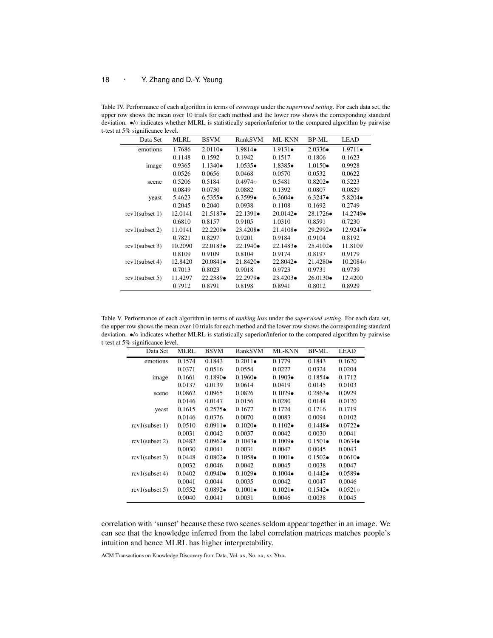Table IV. Performance of each algorithm in terms of *coverage* under the *supervised setting*. For each data set, the upper row shows the mean over 10 trials for each method and the lower row shows the corresponding standard deviation. *•*/*◦* indicates whether MLRL is statistically superior/inferior to the compared algorithm by pairwise t-test at 5% significance level.

| Data Set          | MLRL    | <b>BSVM</b>       | RankSVM           | <b>ML-KNN</b>     | BP-ML             | LEAD              |
|-------------------|---------|-------------------|-------------------|-------------------|-------------------|-------------------|
| emotions          | 1.7686  | $2.0110 \bullet$  | $1.9814 \bullet$  | $1.9131 \bullet$  | $2.0336 \bullet$  | $1.9711 \bullet$  |
|                   | 0.1148  | 0.1592            | 0.1942            | 0.1517            | 0.1806            | 0.1623            |
| image             | 0.9365  | $1.1340\bullet$   | $1.0535 \bullet$  | $1.8385\bullet$   | $1.0150 \bullet$  | 0.9928            |
|                   | 0.0526  | 0.0656            | 0.0468            | 0.0570            | 0.0532            | 0.0622            |
| scene             | 0.5206  | 0.5184            | $0.4974\circ$     | 0.5481            | $0.8202 \bullet$  | 0.5223            |
|                   | 0.0849  | 0.0730            | 0.0882            | 0.1392            | 0.0807            | 0.0829            |
| yeast             | 5.4623  | 6.5355            | $6.3599 \bullet$  | $6.3604 \bullet$  | $6.3247 \bullet$  | $5.8204 \bullet$  |
|                   | 0.2045  | 0.2040            | 0.0938            | 0.1108            | 0.1692            | 0.2749            |
| $rcv1$ (subset 1) | 12.0141 | $21.5187 \bullet$ | $22.1391 \bullet$ | $20.0142 \bullet$ | $28.1726\bullet$  | $14.2749 \bullet$ |
|                   | 0.6810  | 0.8157            | 0.9105            | 1.0310            | 0.8591            | 0.7230            |
| $rcv1$ (subset 2) | 11.0141 | $22.2209 \bullet$ | $23.4208 \bullet$ | $21.4108 \bullet$ | $29.2992 \bullet$ | $12.9247 \bullet$ |
|                   | 0.7821  | 0.8297            | 0.9201            | 0.9184            | 0.9104            | 0.8192            |
| $rcv1$ (subset 3) | 10.2090 | $22.0183 \bullet$ | $22.1940 \bullet$ | $22.1483\bullet$  | $25.4102 \bullet$ | 11.8109           |
|                   | 0.8109  | 0.9109            | 0.8104            | 0.9174            | 0.8197            | 0.9179            |
| $rcv1$ (subset 4) | 12.8420 | $20.0841 \bullet$ | $21.8420 \bullet$ | $22.8042 \bullet$ | $21.4280 \bullet$ | 10.2084 $\circ$   |
|                   | 0.7013  | 0.8023            | 0.9018            | 0.9723            | 0.9731            | 0.9739            |
| $rcv1$ (subset 5) | 11.4297 | $22.2389\bullet$  | $22.2979 \bullet$ | $23.4203\bullet$  | $26.0130 \bullet$ | 12.4200           |
|                   | 0.7912  | 0.8791            | 0.8198            | 0.8941            | 0.8012            | 0.8929            |

Table V. Performance of each algorithm in terms of *ranking loss* under the *supervised setting*. For each data set, the upper row shows the mean over 10 trials for each method and the lower row shows the corresponding standard deviation. *•*/*◦* indicates whether MLRL is statistically superior/inferior to the compared algorithm by pairwise t-test at 5% significance level.

| Data Set          | MLRL   | <b>BSVM</b>      | RankSVM          | <b>ML-KNN</b>    | BP-ML            | LEAD             |
|-------------------|--------|------------------|------------------|------------------|------------------|------------------|
| emotions          | 0.1574 | 0.1843           | $0.2011 \bullet$ | 0.1779           | 0.1843           | 0.1620           |
|                   | 0.0371 | 0.0516           | 0.0554           | 0.0227           | 0.0324           | 0.0204           |
| image             | 0.1661 | $0.1890 \bullet$ | $0.1960 \bullet$ | $0.1903\bullet$  | $0.1854 \bullet$ | 0.1712           |
|                   | 0.0137 | 0.0139           | 0.0614           | 0.0419           | 0.0145           | 0.0103           |
| scene             | 0.0862 | 0.0965           | 0.0826           | $0.1029 \bullet$ | $0.2863\bullet$  | 0.0929           |
|                   | 0.0146 | 0.0147           | 0.0156           | 0.0280           | 0.0144           | 0.0120           |
| yeast             | 0.1615 | $0.2575 \bullet$ | 0.1677           | 0.1724           | 0.1716           | 0.1719           |
|                   | 0.0146 | 0.0376           | 0.0070           | 0.0083           | 0.0094           | 0.0102           |
| $rcv1$ (subset 1) | 0.0510 | $0.0911 \bullet$ | $0.1020 \bullet$ | $0.1102 \bullet$ | $0.1448 \bullet$ | $0.0722 \bullet$ |
|                   | 0.0031 | 0.0042           | 0.0037           | 0.0042           | 0.0030           | 0.0041           |
| $rcv1$ (subset 2) | 0.0482 | $0.0962 \bullet$ | $0.1043\bullet$  | $0.1009 \bullet$ | $0.1501 \bullet$ | $0.0634\bullet$  |
|                   | 0.0030 | 0.0041           | 0.0031           | 0.0047           | 0.0045           | 0.0043           |
| $rcv1$ (subset 3) | 0.0448 | $0.0802 \bullet$ | $0.1058 \bullet$ | $0.1001 \bullet$ | $0.1502 \bullet$ | $0.0610\bullet$  |
|                   | 0.0032 | 0.0046           | 0.0042           | 0.0045           | 0.0038           | 0.0047           |
| $rcv1$ (subset 4) | 0.0402 | $0.0940 \bullet$ | $0.1029 \bullet$ | $0.1004 \bullet$ | $0.1442 \bullet$ | $0.0589\bullet$  |
|                   | 0.0041 | 0.0044           | 0.0035           | 0.0042           | 0.0047           | 0.0046           |
| $rcv1$ (subset 5) | 0.0552 | $0.0892 \bullet$ | $0.1001 \bullet$ | $0.1021 \bullet$ | $0.1542 \bullet$ | $0.0521$ o       |
|                   | 0.0040 | 0.0041           | 0.0031           | 0.0046           | 0.0038           | 0.0045           |

correlation with 'sunset' because these two scenes seldom appear together in an image. We can see that the knowledge inferred from the label correlation matrices matches people's intuition and hence MLRL has higher interpretability.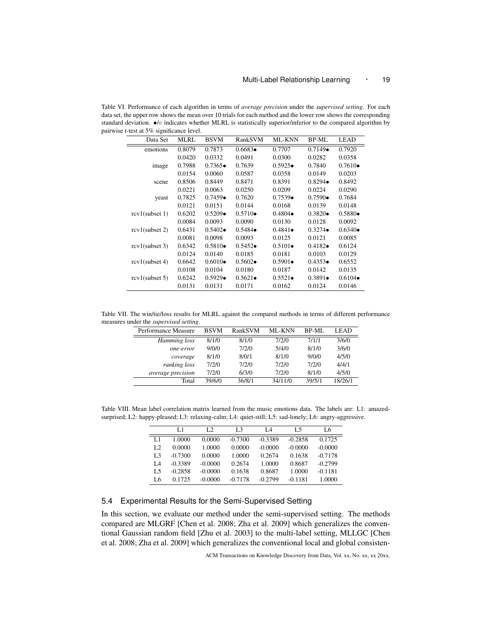Table VI. Performance of each algorithm in terms of *average precision* under the *supervised setting*. For each data set, the upper row shows the mean over 10 trials for each method and the lower row shows the corresponding standard deviation. *•*/*◦* indicates whether MLRL is statistically superior/inferior to the compared algorithm by pairwise t-test at 5% significance level.

| Data Set          | <b>MLRL</b> | <b>BSVM</b>      | RankSVM          | <b>ML-KNN</b>    | <b>BP-ML</b>     | <b>LEAD</b>      |
|-------------------|-------------|------------------|------------------|------------------|------------------|------------------|
| emotions          | 0.8079      | 0.7873           | $0.6683\bullet$  | 0.7707           | $0.7149 \bullet$ | 0.7920           |
|                   | 0.0420      | 0.0332           | 0.0491           | 0.0300           | 0.0282           | 0.0358           |
| image             | 0.7988      | $0.7365 \bullet$ | 0.7639           | $0.5925 \bullet$ | 0.7840           | $0.7610 \bullet$ |
|                   | 0.0154      | 0.0060           | 0.0587           | 0.0358           | 0.0149           | 0.0203           |
| scene             | 0.8506      | 0.8449           | 0.8471           | 0.8391           | $0.8294 \bullet$ | 0.8492           |
|                   | 0.0221      | 0.0063           | 0.0250           | 0.0209           | 0.0224           | 0.0290           |
| yeast             | 0.7825      | $0.7459 \bullet$ | 0.7620           | $0.7539 \bullet$ | $0.7590 \bullet$ | 0.7684           |
|                   | 0.0121      | 0.0151           | 0.0144           | 0.0168           | 0.0139           | 0.0148           |
| $rcv1$ (subset 1) | 0.6202      | $0.5209 \bullet$ | $0.5710\bullet$  | $0.4804 \bullet$ | $0.3820 \bullet$ | $0.5880 \bullet$ |
|                   | 0.0084      | 0.0093           | 0.0090           | 0.0130           | 0.0128           | 0.0092           |
| $rcv1$ (subset 2) | 0.6431      | $0.5402 \bullet$ | $0.5484 \bullet$ | $0.4841 \bullet$ | $0.3274 \bullet$ | $0.6340 \bullet$ |
|                   | 0.0081      | 0.0098           | 0.0093           | 0.0125           | 0.0121           | 0.0085           |
| $rcv1$ (subset 3) | 0.6342      | $0.5810\bullet$  | $0.5452 \bullet$ | $0.5101 \bullet$ | $0.4182 \bullet$ | 0.6124           |
|                   | 0.0124      | 0.0140           | 0.0185           | 0.0181           | 0.0103           | 0.0129           |
| $rcv1$ (subset 4) | 0.6642      | $0.6010 \bullet$ | $0.5602 \bullet$ | $0.5901 \bullet$ | $0.4353 \bullet$ | 0.6552           |
|                   | 0.0108      | 0.0104           | 0.0180           | 0.0187           | 0.0142           | 0.0135           |
| $rcv1$ (subset 5) | 0.6242      | $0.5929 \bullet$ | $0.5621 \bullet$ | $0.5521 \bullet$ | $0.3891 \bullet$ | $0.6104 \bullet$ |
|                   | 0.0131      | 0.0131           | 0.0171           | 0.0162           | 0.0124           | 0.0146           |

Table VII. The win/tie/loss results for MLRL against the compared methods in terms of different performance measures under the *supervised setting*.

| Performance Measure | <b>BSVM</b> | RankSVM | <b>ML-KNN</b> | BP-ML  | LEAD    |
|---------------------|-------------|---------|---------------|--------|---------|
| Hamming loss        | 8/1/0       | 8/1/0   | 7/2/0         | 7/1/1  | 3/6/0   |
| one-error           | 9/0/0       | 7/2/0   | 5/4/0         | 8/1/0  | 3/6/0   |
| coverage            | 8/1/0       | 8/0/1   | 8/1/0         | 9/0/0  | 4/5/0   |
| ranking loss        | 7/2/0       | 7/2/0   | 7/2/0         | 7/2/0  | 4/4/1   |
| average precision   | 7/2/0       | 6/3/0   | 7/2/0         | 8/1/0  | 4/5/0   |
| Total               | 39/6/0      | 36/8/1  | 34/11/0       | 39/5/1 | 18/26/1 |

Table VIII. Mean label correlation matrix learned from the music emotions data. The labels are: L1: amazedsurprised; L2: happy-pleased; L3: relaxing-calm; L4: quiet-still; L5: sad-lonely; L6: angry-aggressive.

|                | L 1       | L <sub>2</sub> | L <sub>3</sub> | I 4       | L5        | L6        |
|----------------|-----------|----------------|----------------|-----------|-----------|-----------|
| L1             | 1.0000    | 0.0000         | $-0.7300$      | $-0.3389$ | $-0.2858$ | 0.1725    |
| L <sub>2</sub> | 0.0000    | 1.0000         | 0.0000         | $-0.0000$ | $-0.0000$ | $-0.0000$ |
| L <sub>3</sub> | $-0.7300$ | 0.0000         | 1.0000         | 0.2674    | 0.1638    | $-0.7178$ |
| I A            | $-0.3389$ | $-0.0000$      | 0.2674         | 1.0000    | 0.8687    | $-0.2799$ |
| L5             | $-0.2858$ | $-0.0000$      | 0.1638         | 0.8687    | 1.0000    | $-0.1181$ |
| L6             | 0.1725    | $-0.0000$      | $-0.7178$      | $-0.2799$ | $-0.1181$ | 1.0000    |

# 5.4 Experimental Results for the Semi-Supervised Setting

In this section, we evaluate our method under the semi-supervised setting. The methods compared are MLGRF [Chen et al. 2008; Zha et al. 2009] which generalizes the conventional Gaussian random field [Zhu et al. 2003] to the multi-label setting, MLLGC [Chen et al. 2008; Zha et al. 2009] which generalizes the conventional local and global consisten-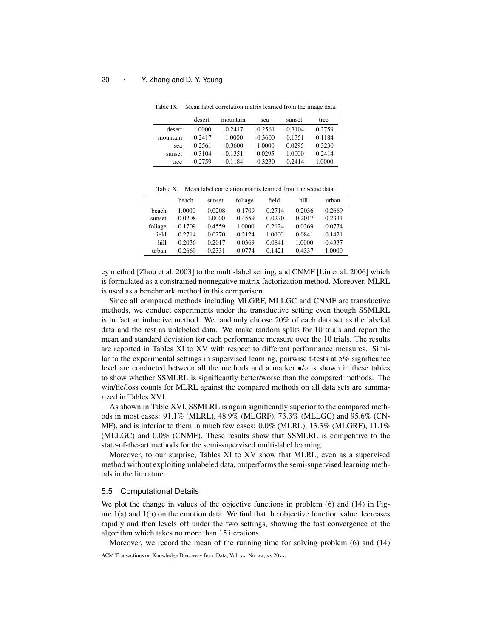|          | desert    | mountain  | sea       | sunset    | tree      |
|----------|-----------|-----------|-----------|-----------|-----------|
| desert   | 1.0000    | $-0.2417$ | $-0.2561$ | $-0.3104$ | $-0.2759$ |
| mountain | $-0.2417$ | 1.0000    | $-0.3600$ | $-0.1351$ | $-0.1184$ |
| sea      | $-0.2561$ | $-0.3600$ | 1.0000    | 0.0295    | $-0.3230$ |
| sunset   | $-0.3104$ | $-0.1351$ | 0.0295    | 1.0000    | $-0.2414$ |
| tree     | $-0.2759$ | $-0.1184$ | $-0.3230$ | $-0.2414$ | 1.0000    |

Table IX. Mean label correlation matrix learned from the image data.

Table X. Mean label correlation matrix learned from the scene data.

|         | heach     | sunset    | foliage   | field     | hill      | urban     |
|---------|-----------|-----------|-----------|-----------|-----------|-----------|
| beach   | 1.0000    | $-0.0208$ | $-0.1709$ | $-0.2714$ | $-0.2036$ | $-0.2669$ |
| sunset  | $-0.0208$ | 1.0000    | $-0.4559$ | $-0.0270$ | $-0.2017$ | $-0.2331$ |
| foliage | $-0.1709$ | $-0.4559$ | 1.0000    | $-0.2124$ | $-0.0369$ | $-0.0774$ |
| field   | $-0.2714$ | $-0.0270$ | $-0.2124$ | 1.0000    | $-0.0841$ | $-0.1421$ |
| hill    | $-0.2036$ | $-0.2017$ | $-0.0369$ | $-0.0841$ | 1.0000    | $-0.4337$ |
| urban   | $-0.2669$ | $-0.2331$ | $-0.0774$ | $-0.1421$ | $-0.4337$ | 1.0000    |

cy method [Zhou et al. 2003] to the multi-label setting, and CNMF [Liu et al. 2006] which is formulated as a constrained nonnegative matrix factorization method. Moreover, MLRL is used as a benchmark method in this comparison.

Since all compared methods including MLGRF, MLLGC and CNMF are transductive methods, we conduct experiments under the transductive setting even though SSMLRL is in fact an inductive method. We randomly choose 20% of each data set as the labeled data and the rest as unlabeled data. We make random splits for 10 trials and report the mean and standard deviation for each performance measure over the 10 trials. The results are reported in Tables XI to XV with respect to different performance measures. Similar to the experimental settings in supervised learning, pairwise t-tests at 5% significance level are conducted between all the methods and a marker *•*/*◦* is shown in these tables to show whether SSMLRL is significantly better/worse than the compared methods. The win/tie/loss counts for MLRL against the compared methods on all data sets are summarized in Tables XVI.

As shown in Table XVI, SSMLRL is again significantly superior to the compared methods in most cases: 91.1% (MLRL), 48.9% (MLGRF), 73.3% (MLLGC) and 95.6% (CN-MF), and is inferior to them in much few cases: 0.0% (MLRL), 13.3% (MLGRF), 11.1% (MLLGC) and 0.0% (CNMF). These results show that SSMLRL is competitive to the state-of-the-art methods for the semi-supervised multi-label learning.

Moreover, to our surprise, Tables XI to XV show that MLRL, even as a supervised method without exploiting unlabeled data, outperforms the semi-supervised learning methods in the literature.

#### 5.5 Computational Details

We plot the change in values of the objective functions in problem (6) and (14) in Figure  $1(a)$  and  $1(b)$  on the emotion data. We find that the objective function value decreases rapidly and then levels off under the two settings, showing the fast convergence of the algorithm which takes no more than 15 iterations.

Moreover, we record the mean of the running time for solving problem (6) and (14)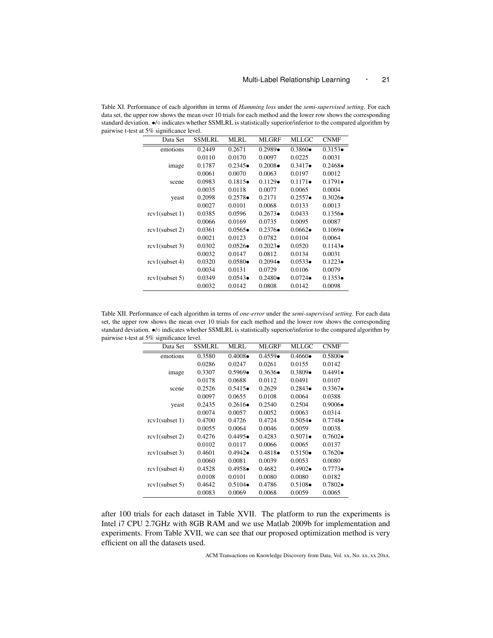Table XI. Performance of each algorithm in terms of *Hamming loss* under the *semi-supervised setting*. For each data set, the upper row shows the mean over 10 trials for each method and the lower row shows the corresponding standard deviation. *•*/*◦* indicates whether SSMLRL is statistically superior/inferior to the compared algorithm by pairwise t-test at 5% significance level.

| Data Set          | <b>SSMLRL</b> | <b>MLRL</b>      | <b>MLGRF</b>     | MLLGC            | <b>CNMF</b>      |
|-------------------|---------------|------------------|------------------|------------------|------------------|
| emotions          | 0.2449        | 0.2671           | $0.2989 \bullet$ | $0.3860 \bullet$ | $0.3153\bullet$  |
|                   | 0.0110        | 0.0170           | 0.0097           | 0.0225           | 0.0031           |
| image             | 0.1787        | $0.2345\bullet$  | $0.2008 \bullet$ | $0.3417 \bullet$ | $0.2468 \bullet$ |
|                   | 0.0061        | 0.0070           | 0.0063           | 0.0197           | 0.0012           |
| scene             | 0.0983        | $0.1815\bullet$  | $0.1129\bullet$  | $0.1171 \bullet$ | $0.1791 \bullet$ |
|                   | 0.0035        | 0.0118           | 0.0077           | 0.0065           | 0.0004           |
| yeast             | 0.2098        | $0.2578 \bullet$ | 0.2171           | $0.2557 \bullet$ | $0.3026 \bullet$ |
|                   | 0.0027        | 0.0101           | 0.0068           | 0.0133           | 0.0013           |
| $rcv1$ (subset 1) | 0.0385        | 0.0596           | $0.2673\bullet$  | 0.0433           | $0.1356\bullet$  |
|                   | 0.0066        | 0.0169           | 0.0735           | 0.0095           | 0.0087           |
| $rcv1$ (subset 2) | 0.0361        | $0.0565 \bullet$ | $0.2376\bullet$  | $0.0662 \bullet$ | $0.1069 \bullet$ |
|                   | 0.0021        | 0.0123           | 0.0782           | 0.0104           | 0.0064           |
| $rcv1$ (subset 3) | 0.0302        | $0.0526\bullet$  | $0.2023\bullet$  | 0.0520           | $0.1143 \bullet$ |
|                   | 0.0032        | 0.0147           | 0.0812           | 0.0134           | 0.0031           |
| $rcv1$ (subset 4) | 0.0320        | $0.0580 \bullet$ | $0.2094 \bullet$ | $0.0533 \bullet$ | $0.1223\bullet$  |
|                   | 0.0034        | 0.0131           | 0.0729           | 0.0106           | 0.0079           |
| $rcv1$ (subset 5) | 0.0349        | $0.0543\bullet$  | $0.2480 \bullet$ | $0.0724 \bullet$ | $0.1353\bullet$  |
|                   | 0.0032        | 0.0142           | 0.0808           | 0.0142           | 0.0098           |

Table XII. Performance of each algorithm in terms of *one-error* under the *semi-supervised setting*. For each data set, the upper row shows the mean over 10 trials for each method and the lower row shows the corresponding standard deviation. *•*/*◦* indicates whether SSMLRL is statistically superior/inferior to the compared algorithm by pairwise t-test at 5% significance level.

| Data Set          | <b>SSMLRL</b> | <b>MLRL</b>      | <b>MLGRF</b>     | MLLGC            | <b>CNMF</b>      |
|-------------------|---------------|------------------|------------------|------------------|------------------|
| emotions          | 0.3580        | $0.4008 \bullet$ | $0.4559\bullet$  | $0.4660 \bullet$ | $0.5800 \bullet$ |
|                   | 0.0286        | 0.0247           | 0.0261           | 0.0155           | 0.0142           |
| image             | 0.3307        | $0.5969\bullet$  | $0.3636 \bullet$ | $0.3809\bullet$  | $0.4491 \bullet$ |
|                   | 0.0178        | 0.0688           | 0.0112           | 0.0491           | 0.0107           |
| scene             | 0.2526        | $0.5415\bullet$  | 0.2629           | $0.2843\bullet$  | $0.3367 \bullet$ |
|                   | 0.0097        | 0.0655           | 0.0108           | 0.0064           | 0.0388           |
| yeast             | 0.2435        | $0.2616\bullet$  | 0.2540           | 0.2504           | $0.9006 \bullet$ |
|                   | 0.0074        | 0.0057           | 0.0052           | 0.0063           | 0.0314           |
| $rcv1$ (subset 1) | 0.4700        | 0.4726           | 0.4724           | $0.5054 \bullet$ | $0.7748 \bullet$ |
|                   | 0.0055        | 0.0064           | 0.0046           | 0.0059           | 0.0038           |
| $rcv1$ (subset 2) | 0.4276        | $0.4495 \bullet$ | 0.4283           | $0.5071 \bullet$ | $0.7602 \bullet$ |
|                   | 0.0102        | 0.0117           | 0.0066           | 0.0065           | 0.0137           |
| $rcv1$ (subset 3) | 0.4601        | $0.4942 \bullet$ | $0.4818 \bullet$ | $0.5150\bullet$  | $0.7620 \bullet$ |
|                   | 0.0060        | 0.0081           | 0.0039           | 0.0053           | 0.0080           |
| $rcv1$ (subset 4) | 0.4528        | $0.4958 \bullet$ | 0.4682           | $0.4902 \bullet$ | $0.7773 \bullet$ |
|                   | 0.0108        | 0.0101           | 0.0080           | 0.0080           | 0.0182           |
| $rcv1$ (subset 5) | 0.4642        | $0.5104 \bullet$ | 0.4786           | $0.5108 \bullet$ | $0.7802 \bullet$ |
|                   | 0.0083        | 0.0069           | 0.0068           | 0.0059           | 0.0065           |

after 100 trials for each dataset in Table XVII. The platform to run the experiments is Intel i7 CPU 2.7GHz with 8GB RAM and we use Matlab 2009b for implementation and experiments. From Table XVII, we can see that our proposed optimization method is very efficient on all the datasets used.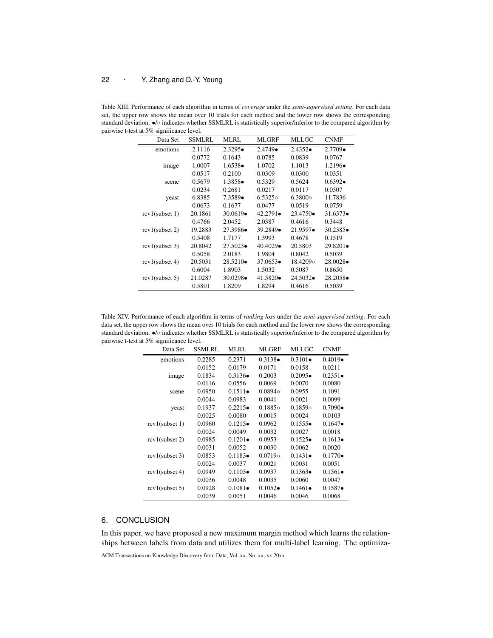Table XIII. Performance of each algorithm in terms of *coverage* under the *semi-supervised setting*. For each data set, the upper row shows the mean over 10 trials for each method and the lower row shows the corresponding standard deviation. *•*/*◦* indicates whether SSMLRL is statistically superior/inferior to the compared algorithm by pairwise t-test at 5% significance level.

| Data Set          | <b>SSMLRL</b> | <b>MLRL</b>       | <b>MLGRF</b>      | MLLGC             | <b>CNMF</b>       |
|-------------------|---------------|-------------------|-------------------|-------------------|-------------------|
| emotions          | 2.1116        | $2.3295 \bullet$  | $2.4749 \bullet$  | $2.4352 \bullet$  | $2.7709 \bullet$  |
|                   | 0.0772        | 0.1643            | 0.0785            | 0.0839            | 0.0767            |
| image             | 1.0007        | $1.6538 \bullet$  | 1.0702            | 1.1013            | $1.2196 \bullet$  |
|                   | 0.0517        | 0.2100            | 0.0309            | 0.0300            | 0.0351            |
| scene             | 0.5679        | $1.3858 \bullet$  | 0.5329            | 0.5624            | $0.6392 \bullet$  |
|                   | 0.0234        | 0.2681            | 0.0217            | 0.0117            | 0.0507            |
| yeast             | 6.8385        | $7.3589\bullet$   | $6.5325$ o        | $6.3800\circ$     | 11.7836           |
|                   | 0.0673        | 0.1677            | 0.0477            | 0.0519            | 0.0759            |
| $rcv1$ (subset 1) | 20.1861       | $30.0619\bullet$  | $42.2791 \bullet$ | $23.4750 \bullet$ | $31.6373\bullet$  |
|                   | 0.4766        | 2.0452            | 2.0387            | 0.4616            | 0.3448            |
| $rcv1$ (subset 2) | 19.2883       | $27.3986 \bullet$ | $39.2849\bullet$  | $21.9597 \bullet$ | $30.2385\bullet$  |
|                   | 0.5408        | 1.7177            | 1.3993            | 0.4678            | 0.1519            |
| $rcv1$ (subset 3) | 20.8042       | $27.5023 \bullet$ | $40.4029 \bullet$ | 20.5803           | 29.8201•          |
|                   | 0.5058        | 2.0183            | 1.9804            | 0.8042            | 0.5039            |
| $rcv1$ (subset 4) | 20.5031       | $28.5210\bullet$  | $37.0653\bullet$  | 18.42090          | $28.0028 \bullet$ |
|                   | 0.6004        | 1.8903            | 1.5032            | 0.5087            | 0.8650            |
| $rcv1$ (subset 5) | 21.0287       | $30.0298 \bullet$ | $41.5820 \bullet$ | $24.5032 \bullet$ | $28.2058 \bullet$ |
|                   | 0.5801        | 1.8209            | 1.8294            | 0.4616            | 0.5039            |

Table XIV. Performance of each algorithm in terms of *ranking loss* under the *semi-supervised setting*. For each data set, the upper row shows the mean over 10 trials for each method and the lower row shows the corresponding standard deviation. *•*/*◦* indicates whether SSMLRL is statistically superior/inferior to the compared algorithm by pairwise t-test at 5% significance level.

| Data Set          | <b>SSMLRL</b> | MLRL             | <b>MLGRF</b>     | MLLGC            | <b>CNMF</b>      |
|-------------------|---------------|------------------|------------------|------------------|------------------|
| emotions          | 0.2285        | 0.2371           | $0.3138 \bullet$ | $0.3101 \bullet$ | $0.4019 \bullet$ |
|                   | 0.0152        | 0.0179           | 0.0171           | 0.0158           | 0.0211           |
| image             | 0.1834        | $0.3136\bullet$  | 0.2003           | $0.2095 \bullet$ | $0.2351 \bullet$ |
|                   | 0.0116        | 0.0556           | 0.0069           | 0.0070           | 0.0080           |
| scene             | 0.0950        | $0.1511 \bullet$ | $0.0894\circ$    | 0.0955           | 0.1091           |
|                   | 0.0044        | 0.0983           | 0.0041           | 0.0021           | 0.0099           |
| yeast             | 0.1937        | $0.2215\bullet$  | $0.1885$ o       | $0.1859$ o       | $0.7090 \bullet$ |
|                   | 0.0025        | 0.0080           | 0.0015           | 0.0024           | 0.0103           |
| $rcv1$ (subset 1) | 0.0960        | $0.1215\bullet$  | 0.0962           | 0.1555           | $0.1647 \bullet$ |
|                   | 0.0024        | 0.0049           | 0.0032           | 0.0027           | 0.0018           |
| $rcv1$ (subset 2) | 0.0985        | $0.1201 \bullet$ | 0.0953           | $0.1525 \bullet$ | $0.1613\bullet$  |
|                   | 0.0031        | 0.0052           | 0.0030           | 0.0062           | 0.0020           |
| $rcv1$ (subset 3) | 0.0853        | $0.1183\bullet$  | $0.0719$ o       | $0.1431 \bullet$ | $0.1770\bullet$  |
|                   | 0.0024        | 0.0037           | 0.0021           | 0.0031           | 0.0051           |
| $rcv1$ (subset 4) | 0.0949        | $0.1105 \bullet$ | 0.0937           | $0.1363\bullet$  | $0.1561 \bullet$ |
|                   | 0.0036        | 0.0048           | 0.0035           | 0.0060           | 0.0047           |
| $rcv1$ (subset 5) | 0.0928        | $0.1081 \bullet$ | $0.1052 \bullet$ | $0.1461 \bullet$ | $0.1587 \bullet$ |
|                   | 0.0039        | 0.0051           | 0.0046           | 0.0046           | 0.0068           |

# 6. CONCLUSION

In this paper, we have proposed a new maximum margin method which learns the relationships between labels from data and utilizes them for multi-label learning. The optimiza-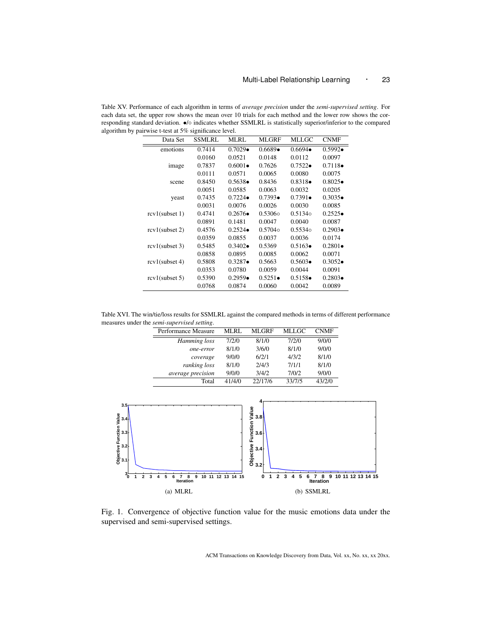Table XV. Performance of each algorithm in terms of *average precision* under the *semi-supervised setting*. For each data set, the upper row shows the mean over 10 trials for each method and the lower row shows the corresponding standard deviation. *•*/*◦* indicates whether SSMLRL is statistically superior/inferior to the compared algorithm by pairwise t-test at 5% significance level.  $\overline{a}$ 

| Data Set          | SSMLRL | <b>MLRL</b>      | <b>MLGRF</b>     | <b>MLLGC</b>     | <b>CNMF</b>      |
|-------------------|--------|------------------|------------------|------------------|------------------|
| emotions          | 0.7414 | $0.7029 \bullet$ | $0.6689\bullet$  | $0.6694 \bullet$ | $0.5992 \bullet$ |
|                   | 0.0160 | 0.0521           | 0.0148           | 0.0112           | 0.0097           |
| image             | 0.7837 | $0.6001 \bullet$ | 0.7626           | $0.7522 \bullet$ | $0.7118 \bullet$ |
|                   | 0.0111 | 0.0571           | 0.0065           | 0.0080           | 0.0075           |
| scene             | 0.8450 | $0.5638 \bullet$ | 0.8436           | $0.8318 \bullet$ | $0.8025\bullet$  |
|                   | 0.0051 | 0.0585           | 0.0063           | 0.0032           | 0.0205           |
| yeast             | 0.7435 | $0.7224 \bullet$ | $0.7393 \bullet$ | $0.7391 \bullet$ | $0.3035\bullet$  |
|                   | 0.0031 | 0.0076           | 0.0026           | 0.0030           | 0.0085           |
| $rcv1$ (subset 1) | 0.4741 | $0.2676 \bullet$ | $0.5306\circ$    | $0.5134\circ$    | 0.2525           |
|                   | 0.0891 | 0.1481           | 0.0047           | 0.0040           | 0.0087           |
| $rcv1$ (subset 2) | 0.4576 | $0.2524 \bullet$ | $0.5704\circ$    | $0.5534$ o       | $0.2903\bullet$  |
|                   | 0.0359 | 0.0855           | 0.0037           | 0.0036           | 0.0174           |
| $rcv1$ (subset 3) | 0.5485 | $0.3402 \bullet$ | 0.5369           | $0.5163\bullet$  | $0.2801 \bullet$ |
|                   | 0.0858 | 0.0895           | 0.0085           | 0.0062           | 0.0071           |
| $rcv1$ (subset 4) | 0.5808 | $0.3287 \bullet$ | 0.5663           | $0.5603\bullet$  | $0.3052 \bullet$ |
|                   | 0.0353 | 0.0780           | 0.0059           | 0.0044           | 0.0091           |
| $rcv1$ (subset 5) | 0.5390 | $0.2959 \bullet$ | $0.5251 \bullet$ | $0.5158 \bullet$ | $0.2803\bullet$  |
|                   | 0.0768 | 0.0874           | 0.0060           | 0.0042           | 0.0089           |

Table XVI. The win/tie/loss results for SSMLRL against the compared methods in terms of different performance measures under the *semi-supervised setting*.

| Performance Measure | MLRL   | MLGRF   | MLLGC  | <b>CNMF</b> |
|---------------------|--------|---------|--------|-------------|
| Hamming loss        | 7/2/0  | 8/1/0   | 7/2/0  | 9/0/0       |
| one-error           | 8/1/0  | 3/6/0   | 8/1/0  | 9/0/0       |
| coverage            | 9/0/0  | 6/2/1   | 4/3/2  | 8/1/0       |
| ranking loss        | 8/1/0  | 2/4/3   | 7/1/1  | 8/1/0       |
| average precision   | 9/0/0  | 3/4/2   | 7/0/2  | 9/0/0       |
| Total               | 41/4/0 | 22/17/6 | 33/7/5 | 43/2/0      |



Fig. 1. Convergence of objective function value for the music emotions data under the supervised and semi-supervised settings.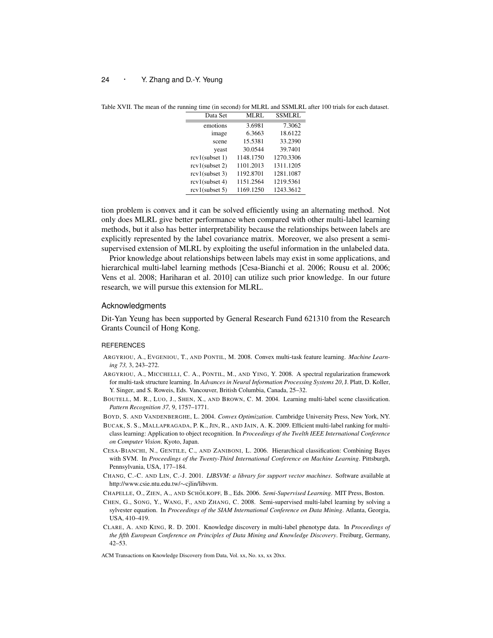| Data Set          | MLRL      | <b>SSMLRL</b> |
|-------------------|-----------|---------------|
| emotions          | 3.6981    | 7.3062        |
| image             | 6.3663    | 18.6122       |
| scene             | 15.5381   | 33.2390       |
| yeast             | 30.0544   | 39.7401       |
| $rcv1$ (subset 1) | 1148.1750 | 1270.3306     |
| $rcv1$ (subset 2) | 1101.2013 | 1311.1205     |
| $rcv1$ (subset 3) | 1192.8701 | 1281.1087     |
| rcv1(subset 4)    | 1151.2564 | 1219.5361     |
| $rcv1$ (subset 5) | 1169.1250 | 1243.3612     |

Table XVII. The mean of the running time (in second) for MLRL and SSMLRL after 100 trials for each dataset.

tion problem is convex and it can be solved efficiently using an alternating method. Not only does MLRL give better performance when compared with other multi-label learning methods, but it also has better interpretability because the relationships between labels are explicitly represented by the label covariance matrix. Moreover, we also present a semisupervised extension of MLRL by exploiting the useful information in the unlabeled data.

Prior knowledge about relationships between labels may exist in some applications, and hierarchical multi-label learning methods [Cesa-Bianchi et al. 2006; Rousu et al. 2006; Vens et al. 2008; Hariharan et al. 2010] can utilize such prior knowledge. In our future research, we will pursue this extension for MLRL.

#### Acknowledgments

Dit-Yan Yeung has been supported by General Research Fund 621310 from the Research Grants Council of Hong Kong.

#### REFERENCES

- ARGYRIOU, A., EVGENIOU, T., AND PONTIL, M. 2008. Convex multi-task feature learning. *Machine Learning 73,* 3, 243–272.
- ARGYRIOU, A., MICCHELLI, C. A., PONTIL, M., AND YING, Y. 2008. A spectral regularization framework for multi-task structure learning. In *Advances in Neural Information Processing Systems 20*, J. Platt, D. Koller, Y. Singer, and S. Roweis, Eds. Vancouver, British Columbia, Canada, 25–32.
- BOUTELL, M. R., LUO, J., SHEN, X., AND BROWN, C. M. 2004. Learning multi-label scene classification. *Pattern Recognition 37,* 9, 1757–1771.
- BOYD, S. AND VANDENBERGHE, L. 2004. *Convex Optimization*. Cambridge University Press, New York, NY.
- BUCAK, S. S., MALLAPRAGADA, P. K., JIN, R., AND JAIN, A. K. 2009. Efficient multi-label ranking for multiclass learning: Application to object recognition. In *Proceedings of the Twelth IEEE International Conference on Computer Vision*. Kyoto, Japan.
- CESA-BIANCHI, N., GENTILE, C., AND ZANIBONI, L. 2006. Hierarchical classification: Combining Bayes with SVM. In *Proceedings of the Twenty-Third International Conference on Machine Learning*. Pittsburgh, Pennsylvania, USA, 177–184.
- CHANG, C.-C. AND LIN, C.-J. 2001. *LIBSVM: a library for support vector machines*. Software available at http://www.csie.ntu.edu.tw/*∼*cjlin/libsvm.
- CHAPELLE, O., ZIEN, A., AND SCHÖLKOPF, B., Eds. 2006. *Semi-Supervised Learning*. MIT Press, Boston.
- CHEN, G., SONG, Y., WANG, F., AND ZHANG, C. 2008. Semi-supervised multi-label learning by solving a sylvester equation. In *Proceedings of the SIAM International Conference on Data Mining*. Atlanta, Georgia, USA, 410–419.
- CLARE, A. AND KING, R. D. 2001. Knowledge discovery in multi-label phenotype data. In *Proceedings of the fifth European Conference on Principles of Data Mining and Knowledge Discovery*. Freiburg, Germany, 42–53.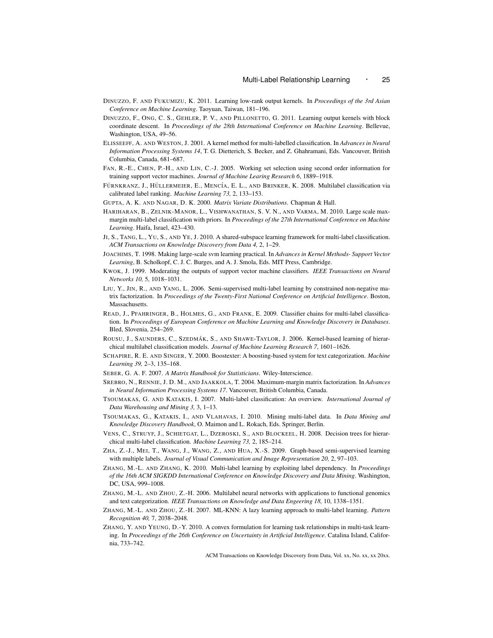- DINUZZO, F. AND FUKUMIZU, K. 2011. Learning low-rank output kernels. In *Proceedings of the 3rd Asian Conference on Machine Learning*. Taoyuan, Taiwan, 181–196.
- DINUZZO, F., ONG, C. S., GEHLER, P. V., AND PILLONETTO, G. 2011. Learning output kernels with block coordinate descent. In *Proceedings of the 28th International Conference on Machine Learning*. Bellevue, Washington, USA, 49–56.
- ELISSEEFF, A. AND WESTON, J. 2001. A kernel method for multi-labelled classification. In *Advances in Neural Information Processing Systems 14*, T. G. Dietterich, S. Becker, and Z. Ghahramani, Eds. Vancouver, British Columbia, Canada, 681–687.
- FAN, R.-E., CHEN, P.-H., AND LIN, C.-J. 2005. Working set selection using second order information for training support vector machines. *Journal of Machine Learing Research 6*, 1889–1918.
- FÜRNKRANZ, J., HÜLLERMEIER, E., MENCÍA, E. L., AND BRINKER, K. 2008. Multilabel classification via calibrated label ranking. *Machine Learning 73,* 2, 133–153.
- GUPTA, A. K. AND NAGAR, D. K. 2000. *Matrix Variate Distributions*. Chapman & Hall.
- HARIHARAN, B., ZELNIK-MANOR, L., VISHWANATHAN, S. V. N., AND VARMA, M. 2010. Large scale maxmargin multi-label classification with priors. In *Proceedings of the 27th International Conference on Machine Learning*. Haifa, Israel, 423–430.
- JI, S., TANG, L., YU, S., AND YE, J. 2010. A shared-subspace learning framework for multi-label classification. *ACM Transactions on Knowledge Discovery from Data 4,* 2, 1–29.
- JOACHIMS, T. 1998. Making large-scale svm learning practical. In *Advances in Kernel Methods- Support Vector Learning*, B. Scholkopf, C. J. C. Burges, and A. J. Smola, Eds. MIT Press, Cambridge.
- KWOK, J. 1999. Moderating the outputs of support vector machine classifiers. *IEEE Transactions on Neural Networks 10,* 5, 1018–1031.
- LIU, Y., JIN, R., AND YANG, L. 2006. Semi-supervised multi-label learning by constrained non-negative matrix factorization. In *Proceedings of the Twenty-First National Conference on Artificial Intelligence*. Boston, **Massachusetts**
- READ, J., PFAHRINGER, B., HOLMES, G., AND FRANK, E. 2009. Classifier chains for multi-label classification. In *Proceedings of European Conference on Machine Learning and Knowledge Discovery in Databases*. Bled, Slovenia, 254–269.
- ROUSU, J., SAUNDERS, C., SZEDMÁK, S., AND SHAWE-TAYLOR, J. 2006. Kernel-based learning of hierarchical multilabel classification models. *Journal of Machine Learning Research 7*, 1601–1626.
- SCHAPIRE, R. E. AND SINGER, Y. 2000. Boostexter: A boosting-based system for text categorization. *Machine Learning 39,* 2–3, 135–168.
- SEBER, G. A. F. 2007. *A Matrix Handbook for Statisticians*. Wiley-Interscience.
- SREBRO, N., RENNIE, J. D. M., AND JAAKKOLA, T. 2004. Maximum-margin matrix factorization. In *Advances in Neural Information Processing Systems 17*. Vancouver, British Columbia, Canada.
- TSOUMAKAS, G. AND KATAKIS, I. 2007. Multi-label classification: An overview. *International Journal of Data Warehousing and Mining 3,* 3, 1–13.
- TSOUMAKAS, G., KATAKIS, I., AND VLAHAVAS, I. 2010. Mining multi-label data. In *Data Mining and Knowledge Discovery Handbook*, O. Maimon and L. Rokach, Eds. Springer, Berlin.
- VENS, C., STRUYF, J., SCHIETGAT, L., DZEROSKI, S., AND BLOCKEEL, H. 2008. Decision trees for hierarchical multi-label classification. *Machine Learning 73,* 2, 185–214.
- ZHA, Z.-J., MEI, T., WANG, J., WANG, Z., AND HUA, X.-S. 2009. Graph-based semi-supervised learning with multiple labels. *Journal of Visual Communication and Image Representation 20,* 2, 97–103.
- ZHANG, M.-L. AND ZHANG, K. 2010. Multi-label learning by exploiting label dependency. In *Proceedings of the 16th ACM SIGKDD International Conference on Knowledge Discovery and Data Mining*. Washington, DC, USA, 999–1008.
- ZHANG, M.-L. AND ZHOU, Z.-H. 2006. Multilabel neural networks with applications to functional genomics and text categorization. *IEEE Transactions on Knowledge and Data Engeering 18,* 10, 1338–1351.
- ZHANG, M.-L. AND ZHOU, Z.-H. 2007. ML-KNN: A lazy learning approach to multi-label learning. *Pattern Recognition 40,* 7, 2038–2048.
- ZHANG, Y. AND YEUNG, D.-Y. 2010. A convex formulation for learning task relationships in multi-task learning. In *Proceedings of the 26th Conference on Uncertainty in Artificial Intelligence*. Catalina Island, California, 733–742.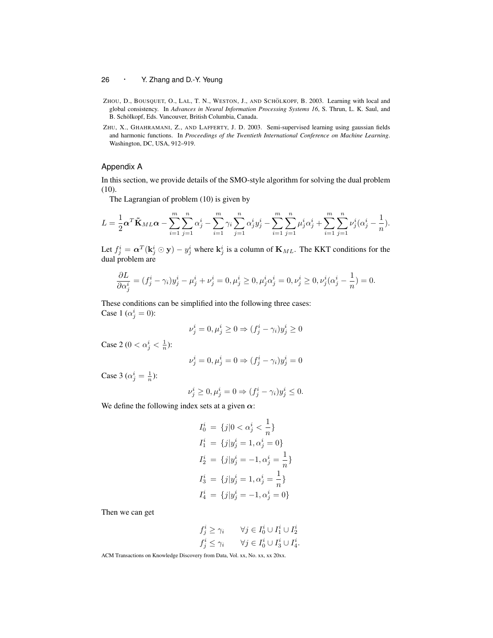- ZHOU, D., BOUSQUET, O., LAL, T. N., WESTON, J., AND SCHÖLKOPF, B. 2003. Learning with local and global consistency. In *Advances in Neural Information Processing Systems 16*, S. Thrun, L. K. Saul, and B. Schölkopf, Eds. Vancouver, British Columbia, Canada.
- ZHU, X., GHAHRAMANI, Z., AND LAFFERTY, J. D. 2003. Semi-supervised learning using gaussian fields and harmonic functions. In *Proceedings of the Twentieth International Conference on Machine Learning*. Washington, DC, USA, 912–919.

#### Appendix A

In this section, we provide details of the SMO-style algorithm for solving the dual problem (10).

The Lagrangian of problem (10) is given by

$$
L = \frac{1}{2}\alpha^T \tilde{\mathbf{K}}_{ML}\alpha - \sum_{i=1}^m \sum_{j=1}^n \alpha_j^i - \sum_{i=1}^m \gamma_i \sum_{j=1}^n \alpha_j^i y_j^i - \sum_{i=1}^m \sum_{j=1}^n \mu_j^i \alpha_j^i + \sum_{i=1}^m \sum_{j=1}^n \nu_j^i (\alpha_j^i - \frac{1}{n}).
$$

Let  $f_j^i = \alpha^T (\mathbf{k}_j^i \odot \mathbf{y}) - y_j^i$  where  $\mathbf{k}_j^i$  is a column of  $\mathbf{K}_{ML}$ . The KKT conditions for the dual problem are

$$
\frac{\partial L}{\partial \alpha_j^i}=(f_j^i-\gamma_i)y_j^i-\mu_j^i+\nu_j^i=0, \mu_j^i\geq 0, \mu_j^i\alpha_j^i=0, \nu_j^i\geq 0, \nu_j^i(\alpha_j^i-\frac{1}{n})=0.
$$

These conditions can be simplified into the following three cases: Case 1 ( $\alpha_j^i = 0$ ):

$$
\nu^i_j = 0, \mu^i_j \ge 0 \Rightarrow (f^i_j - \gamma_i)y^i_j \ge 0
$$

Case 2 ( $0 < \alpha_j^i < \frac{1}{n}$ ):

$$
\nu^i_j=0, \mu^i_j=0 \Rightarrow (f^i_j-\gamma_i)y^i_j=0
$$

Case 3 ( $\alpha_j^i = \frac{1}{n}$ ):

$$
\nu_j^i \ge 0, \mu_j^i = 0 \Rightarrow (f_j^i - \gamma_i)y_j^i \le 0.
$$

We define the following index sets at a given  $\alpha$ :

$$
I_0^i = \{j | 0 < \alpha_j^i < \frac{1}{n} \}
$$
\n
$$
I_1^i = \{j | y_j^i = 1, \alpha_j^i = 0 \}
$$
\n
$$
I_2^i = \{j | y_j^i = -1, \alpha_j^i = \frac{1}{n} \}
$$
\n
$$
I_3^i = \{j | y_j^i = 1, \alpha_j^i = \frac{1}{n} \}
$$
\n
$$
I_4^i = \{j | y_j^i = -1, \alpha_j^i = 0 \}
$$

Then we can get

$$
f_j^i \ge \gamma_i \qquad \forall j \in I_0^i \cup I_1^i \cup I_2^i
$$
  

$$
f_j^i \le \gamma_i \qquad \forall j \in I_0^i \cup I_3^i \cup I_4^i.
$$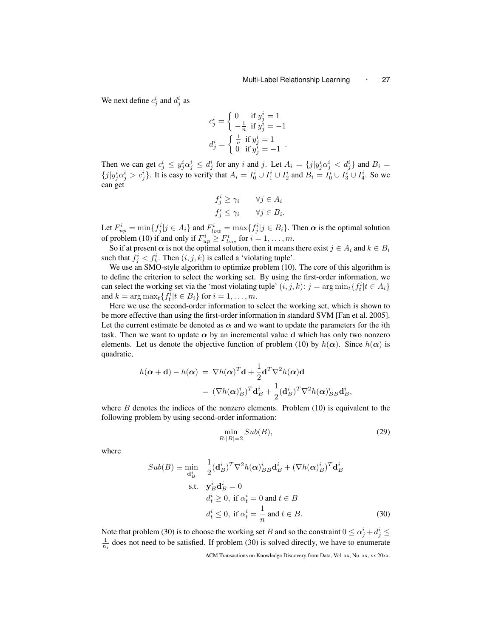We next define  $c_j^i$  and  $d_j^i$  as

$$
\label{eq:2} c^i_j = \left\{ \begin{array}{ll} 0 & \text{if } y^i_j = 1 \\ -\frac{1}{n} & \text{if } y^i_j = -1 \\ d^i_j = \left\{ \begin{array}{ll} \frac{1}{n} & \text{if } y^i_j = 1 \\ 0 & \text{if } y^i_j = -1 \end{array} \right. \right. \\ \textrm{.}
$$

Then we can get  $c_j^i \leq y_j^i \alpha_j^i \leq d_j^i$  for any i and j. Let  $A_i = \{j | y_j^i \alpha_j^i < d_j^i\}$  and  $B_i =$  $\{j|y_j^i\alpha_j^i > c_j^i\}$ . It is easy to verify that  $A_i = I_0^i \cup I_1^i \cup I_2^i$  and  $B_i = I_0^i \cup I_3^i \cup I_4^i$ . So we can get

$$
f_j^i \ge \gamma_i \qquad \forall j \in A_i
$$
  

$$
f_j^i \le \gamma_i \qquad \forall j \in B_i.
$$

Let  $F_{up}^i = \min\{f_j^i | j \in A_i\}$  and  $F_{low}^i = \max\{f_j^i | j \in B_i\}$ . Then  $\alpha$  is the optimal solution of problem (10) if and only if  $F_{up}^i \geq F_{low}^i$  for  $i = 1, \ldots, m$ .

So if at present  $\alpha$  is not the optimal solution, then it means there exist  $j \in A_i$  and  $k \in B_i$ such that  $f_j^i < f_k^i$ . Then  $(i, j, k)$  is called a 'violating tuple'.

We use an SMO-style algorithm to optimize problem (10). The core of this algorithm is to define the criterion to select the working set. By using the first-order information, we can select the working set via the 'most violating tuple'  $(i, j, k)$ :  $j = \arg \min_t \{f_t^i | t \in A_i\}$ and  $k = \arg \max_t \{f_t^i | t \in B_i\}$  for  $i = 1, \ldots, m$ .

Here we use the second-order information to select the working set, which is shown to be more effective than using the first-order information in standard SVM [Fan et al. 2005]. Let the current estimate be denoted as  $\alpha$  and we want to update the parameters for the *i*th task. Then we want to update  $\alpha$  by an incremental value **d** which has only two nonzero elements. Let us denote the objective function of problem (10) by  $h(\alpha)$ . Since  $h(\alpha)$  is quadratic,

$$
h(\alpha + \mathbf{d}) - h(\alpha) = \nabla h(\alpha)^T \mathbf{d} + \frac{1}{2} \mathbf{d}^T \nabla^2 h(\alpha) \mathbf{d}
$$

$$
= (\nabla h(\alpha)^i_B)^T \mathbf{d}^i_B + \frac{1}{2} (\mathbf{d}^i_B)^T \nabla^2 h(\alpha)^i_{BB} \mathbf{d}^i_B,
$$

where  $B$  denotes the indices of the nonzero elements. Problem  $(10)$  is equivalent to the following problem by using second-order information:

$$
\min_{B:|B|=2} Sub(B),\tag{29}
$$

where

$$
Sub(B) \equiv \min_{\mathbf{d}_B^i} \quad \frac{1}{2} (\mathbf{d}_B^i)^T \nabla^2 h(\mathbf{\alpha})_{BB}^i \mathbf{d}_B^i + (\nabla h(\mathbf{\alpha})_B^i)^T \mathbf{d}_B^i
$$
  
s.t.  $\mathbf{y}_B^i \mathbf{d}_B^i = 0$   
 $d_t^i \ge 0$ , if  $\alpha_t^i = 0$  and  $t \in B$   
 $d_t^i \le 0$ , if  $\alpha_t^i = \frac{1}{n}$  and  $t \in B$ . (30)

Note that problem (30) is to choose the working set *B* and so the constraint  $0 \le \alpha_j^i + d_j^i \le$  $\frac{1}{n_i}$  does not need to be satisfied. If problem (30) is solved directly, we have to enumerate

ACM Transactions on Knowledge Discovery from Data, Vol. xx, No. xx, xx 20xx.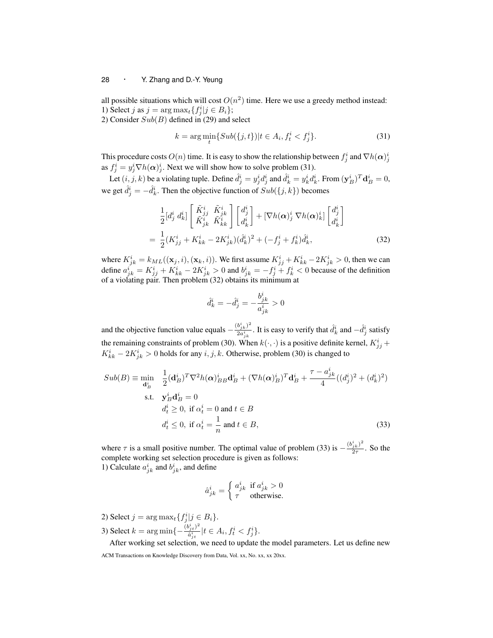all possible situations which will cost  $O(n^2)$  time. Here we use a greedy method instead: 1) Select *j* as  $j = \arg \max_t \{f_j^i | j \in B_i\};$ 

2) Consider *Sub*(*B*) defined in (29) and select

$$
k = \arg\min_{t} \{ Sub(\{j, t\}) | t \in A_i, f_t^i < f_j^i \}. \tag{31}
$$

This procedure costs  $O(n)$  time. It is easy to show the relationship between  $f^i_j$  and  $\nabla h(\boldsymbol{\alpha})^i_j$ as  $f_j^i = y_j^i \nabla h(\alpha)_{j}^i$ . Next we will show how to solve problem (31).

Let  $(i, j, k)$  be a violating tuple. Define  $\hat{d}_j^i = y_j^i d_j^i$  and  $\hat{d}_k^i = y_k^i d_k^i$ . From  $(\mathbf{y}_B^i)^T \mathbf{d}_B^i = 0$ , we get  $\hat{d}^i_j = -\hat{d}^i_k$ . Then the objective function of  $Sub(\lbrace j, k \rbrace)$  becomes

$$
\frac{1}{2} [d_j^i d_k^i] \begin{bmatrix} \tilde{K}_{jj}^i & \tilde{K}_{jk}^i \\ \tilde{K}_{jk}^i & \tilde{K}_{kk}^i \end{bmatrix} \begin{bmatrix} d_j^i \\ d_k^i \end{bmatrix} + [\nabla h(\alpha)_j^i \nabla h(\alpha)_k^i] \begin{bmatrix} d_j^i \\ d_k^i \end{bmatrix}
$$
\n
$$
= \frac{1}{2} (K_{jj}^i + K_{kk}^i - 2K_{jk}^i) (\hat{d}_k^i)^2 + (-f_j^i + f_k^i) \hat{d}_k^i, \tag{32}
$$

where  $K_{jk}^i = k_{ML}((\mathbf{x}_j, i), (\mathbf{x}_k, i))$ . We first assume  $K_{jj}^i + K_{kk}^i - 2K_{jk}^i > 0$ , then we can define  $a_{jk}^i = K_{jj}^i + K_{kk}^i - 2K_{jk}^i > 0$  and  $b_{jk}^i = -f_j^i + f_k^i < 0$  because of the definition of a violating pair. Then problem (32) obtains its minimum at

$$
\hat{d}_k^i = -\hat{d}_j^i = -\frac{b_{jk}^i}{a_{jk}^i} > 0
$$

and the objective function value equals  $-\frac{(b_{jk}^i)^2}{2a_i^i}$  $\frac{b_{j,k}^i}{2a_{j,k}^i}$ . It is easy to verify that  $\hat{d}_k^i$  and  $-\hat{d}_j^i$  satisfy the remaining constraints of problem (30). When  $k(\cdot, \cdot)$  is a positive definite kernel,  $K_{jj}^i$  +  $K_{kk}^{i}$  *−* 2 $K_{jk}^{i}$  > 0 holds for any *i, j, k*. Otherwise, problem (30) is changed to

$$
Sub(B) \equiv \min_{\mathbf{d}_B^i} \quad \frac{1}{2} (\mathbf{d}_B^i)^T \nabla^2 h(\mathbf{\alpha})_{BB}^i \mathbf{d}_B^i + (\nabla h(\mathbf{\alpha})_B^i)^T \mathbf{d}_B^i + \frac{\tau - a_{jk}^i}{4} ((d_j^i)^2 + (d_k^i)^2)
$$
  
s.t. 
$$
\mathbf{y}_B^i \mathbf{d}_B^i = 0
$$

$$
d_t^i \ge 0, \text{ if } \alpha_t^i = 0 \text{ and } t \in B
$$

$$
d_t^i \le 0, \text{ if } \alpha_t^i = \frac{1}{n} \text{ and } t \in B,
$$
 (33)

where  $\tau$  is a small positive number. The optimal value of problem (33) is  $-\frac{(b_{jk}^i)^2}{2\tau}$  $\frac{j k}{2\tau}$ . So the complete working set selection procedure is given as follows: 1) Calculate  $a_{jk}^i$  and  $b_{jk}^i$ , and define

$$
\hat{a}_{jk}^{i} = \begin{cases} a_{jk}^{i} & \text{if } a_{jk}^{i} > 0\\ \tau & \text{otherwise.} \end{cases}
$$

- 2) Select  $j = \arg \max_t \{f_j^i | j \in B_i\}.$
- 3) Select  $k = \arg \min \{-\frac{(b_{jt}^i)^2}{\hat{a}^i}\}$  $\frac{\partial^i_j t^j}{\partial x^i_j} | t \in A_i, f^i_t < f^i_j$ .

After working set selection, we need to update the model parameters. Let us define new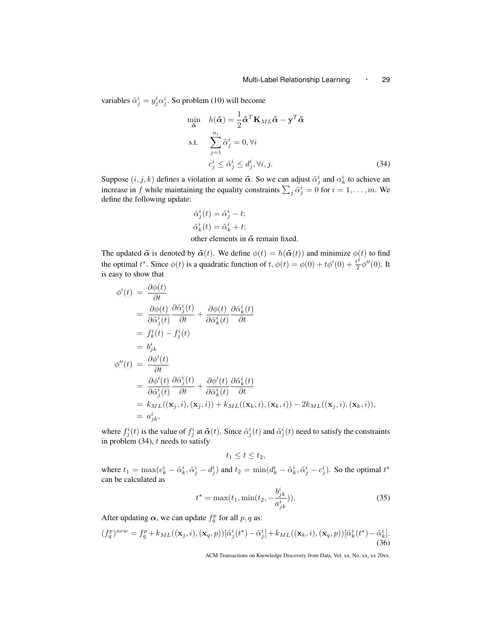variables  $\tilde{\alpha}_j^i = y_j^i \alpha_j^i$ . So problem (10) will become

$$
\min_{\tilde{\alpha}} \quad h(\tilde{\alpha}) = \frac{1}{2} \tilde{\alpha}^T \mathbf{K}_{ML} \tilde{\alpha} - \mathbf{y}^T \tilde{\alpha}
$$
\n
$$
\text{s.t.} \quad \sum_{j=1}^{n_i} \tilde{\alpha}_j^i = 0, \forall i
$$
\n
$$
c_j^i \le \tilde{\alpha}_j^i \le d_j^i, \forall i, j. \tag{34}
$$

Suppose  $(i, j, k)$  defines a violation at some  $\tilde{\alpha}$ . So we can adjust  $\tilde{\alpha}^i_j$  and  $\alpha^i_k$  to achieve an increase in *f* while maintaining the equality constraints  $\sum_j \tilde{\alpha}^i_j = 0$  for  $i = 1, \ldots, m$ . We define the following update:

$$
\tilde{\alpha}_j^i(t) = \tilde{\alpha}_j^i - t;
$$
  
\n
$$
\tilde{\alpha}_k^i(t) = \tilde{\alpha}_k^i + t;
$$
  
\nother elements in  $\tilde{\alpha}$  remain fixed.

The updated  $\tilde{\alpha}$  is denoted by  $\tilde{\alpha}(t)$ . We define  $\phi(t) = h(\tilde{\alpha}(t))$  and minimize  $\phi(t)$  to find the optimal  $t^*$ . Since  $\phi(t)$  is a quadratic function of  $t$ ,  $\phi(t) = \phi(0) + t\phi'(0) + \frac{t^2}{2}$  $\frac{t^2}{2}\phi''(0)$ . It is easy to show that

$$
\begin{split}\n\phi'(t) &= \frac{\partial \phi(t)}{\partial t} \\
&= \frac{\partial \phi(t)}{\partial \tilde{\alpha}_{j}^{i}(t)} \frac{\partial \tilde{\alpha}_{j}^{i}(t)}{\partial t} + \frac{\partial \phi(t)}{\partial \tilde{\alpha}_{k}^{i}(t)} \frac{\partial \tilde{\alpha}_{k}^{i}(t)}{\partial t} \\
&= f_{k}^{i}(t) - f_{j}^{i}(t) \\
&= b_{jk}^{i} \\
\phi''(t) &= \frac{\partial \phi'(t)}{\partial t} \\
&= \frac{\partial \phi'(t)}{\partial \tilde{\alpha}_{j}^{i}(t)} \frac{\partial \tilde{\alpha}_{j}^{i}(t)}{\partial t} + \frac{\partial \phi'(t)}{\partial \tilde{\alpha}_{k}^{i}(t)} \frac{\partial \tilde{\alpha}_{k}^{i}(t)}{\partial t} \\
&= k_{ML}((\mathbf{x}_{j}, i), (\mathbf{x}_{j}, i)) + k_{ML}((\mathbf{x}_{k}, i), (\mathbf{x}_{k}, i)) - 2k_{ML}((\mathbf{x}_{j}, i), (\mathbf{x}_{k}, i)), \\
&= a_{jk}^{i},\n\end{split}
$$

where  $f_j^i(t)$  is the value of  $f_j^i$  at  $\tilde{\alpha}(t)$ . Since  $\tilde{\alpha}_j^i(t)$  and  $\tilde{\alpha}_j^i(t)$  need to satisfy the constraints in problem (34), *t* needs to satisfy

$$
t_1\leq t\leq t_2,
$$

where  $t_1 = \max(c_k^i - \tilde{\alpha}_k^i, \tilde{\alpha}_j^i - d_j^i)$  and  $t_2 = \min(d_k^i - \tilde{\alpha}_k^i, \tilde{\alpha}_j^i - c_j^i)$ . So the optimal  $t^*$ can be calculated as

$$
t^* = \max(t_1, \min(t_2, -\frac{b_{jk}^i}{a_{jk}^i})).
$$
\n(35)

After updating  $\alpha$ , we can update  $f_q^p$  for all  $p, q$  as:

$$
(f_q^p)^{new} = f_q^p + k_{ML}((\mathbf{x}_j, i), (\mathbf{x}_q, p))[\tilde{\alpha}_j^i(t^*) - \tilde{\alpha}_j^i] + k_{ML}((\mathbf{x}_k, i), (\mathbf{x}_q, p))[\tilde{\alpha}_k^i(t^*) - \tilde{\alpha}_k^i].
$$
\n(36)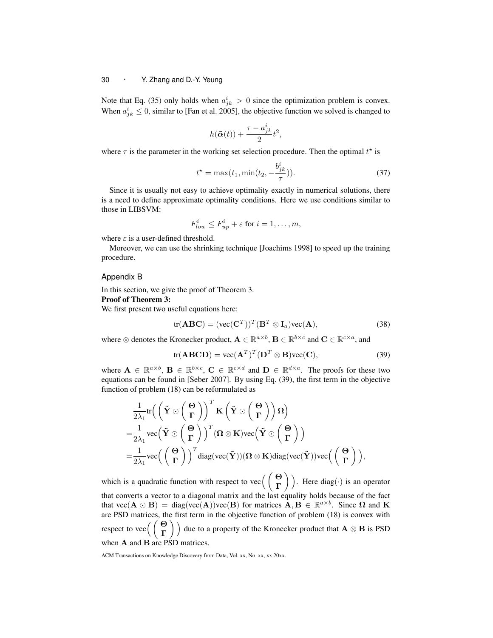Note that Eq. (35) only holds when  $a_{jk}^i > 0$  since the optimization problem is convex. When  $a_{jk}^i \leq 0$ , similar to [Fan et al. 2005], the objective function we solved is changed to

$$
h(\tilde{\boldsymbol{\alpha}}(t)) + \frac{\tau - a_{jk}^i}{2} t^2,
$$

where  $\tau$  is the parameter in the working set selection procedure. Then the optimal  $t^*$  is

$$
t^* = \max(t_1, \min(t_2, -\frac{b_{jk}^i}{\tau})).
$$
\n(37)

Since it is usually not easy to achieve optimality exactly in numerical solutions, there is a need to define approximate optimality conditions. Here we use conditions similar to those in LIBSVM:

$$
F_{low}^i \le F_{up}^i + \varepsilon \text{ for } i = 1, \dots, m,
$$

where  $\varepsilon$  is a user-defined threshold.

Moreover, we can use the shrinking technique [Joachims 1998] to speed up the training procedure.

Appendix B

In this section, we give the proof of Theorem 3.

#### Proof of Theorem 3:

We first present two useful equations here:

$$
tr(ABC) = (vec(CT))T(BT \otimes Ia)vec(A),
$$
 (38)

where  $\otimes$  denotes the Kronecker product,  $\mathbf{A} \in \mathbb{R}^{a \times b}, \mathbf{B} \in \mathbb{R}^{b \times c}$  and  $\mathbf{C} \in \mathbb{R}^{c \times a}$ , and

$$
tr(ABCD) = vec(AT)T(DT \otimes B)vec(C),
$$
 (39)

where  $A \in \mathbb{R}^{a \times b}$ ,  $B \in \mathbb{R}^{b \times c}$ ,  $C \in \mathbb{R}^{c \times d}$  and  $D \in \mathbb{R}^{d \times a}$ . The proofs for these two equations can be found in [Seber 2007]. By using Eq. (39), the first term in the objective function of problem (18) can be reformulated as

$$
\begin{aligned}&\frac{1}{2\lambda_1}\text{tr}\Big(\left(\tilde{\mathbf{Y}}\odot\left(\frac{\mathbf{\Theta}}{\Gamma}\right)\right)^T\mathbf{K}\left(\tilde{\mathbf{Y}}\odot\left(\frac{\mathbf{\Theta}}{\Gamma}\right)\right)\Omega\Big)\\=&\frac{1}{2\lambda_1}\text{vec}\Big(\tilde{\mathbf{Y}}\odot\left(\frac{\mathbf{\Theta}}{\Gamma}\right)\Big)^T(\Omega\otimes\mathbf{K})\text{vec}\Big(\tilde{\mathbf{Y}}\odot\left(\frac{\mathbf{\Theta}}{\Gamma}\right)\Big)\\=&\frac{1}{2\lambda_1}\text{vec}\Big(\left(\frac{\mathbf{\Theta}}{\Gamma}\right)\Big)^T\text{diag}(\text{vec}(\tilde{\mathbf{Y}}))(\Omega\otimes\mathbf{K})\text{diag}(\text{vec}(\tilde{\mathbf{Y}}))\text{vec}\Big(\left(\frac{\mathbf{\Theta}}{\Gamma}\right)\Big),\end{aligned}
$$

which is a quadratic function with respect to vec( ( **Θ Γ** ) ) . Here diag(*·*) is an operator that converts a vector to a diagonal matrix and the last equality holds because of the fact that  $\text{vec}(\mathbf{A} \odot \mathbf{B}) = \text{diag}(\text{vec}(\mathbf{A}))\text{vec}(\mathbf{B})$  for matrices  $\mathbf{A}, \mathbf{B} \in \mathbb{R}^{a \times b}$ . Since  $\Omega$  and  $\mathbf{K}$ are PSD matrices, the first term in the objective function of problem (18) is convex with respect to vec( ( **Θ Γ**  $\setminus$ due to a property of the Kronecker product that **A** *⊗* **B** is PSD when **A** and **B** are PSD matrices.